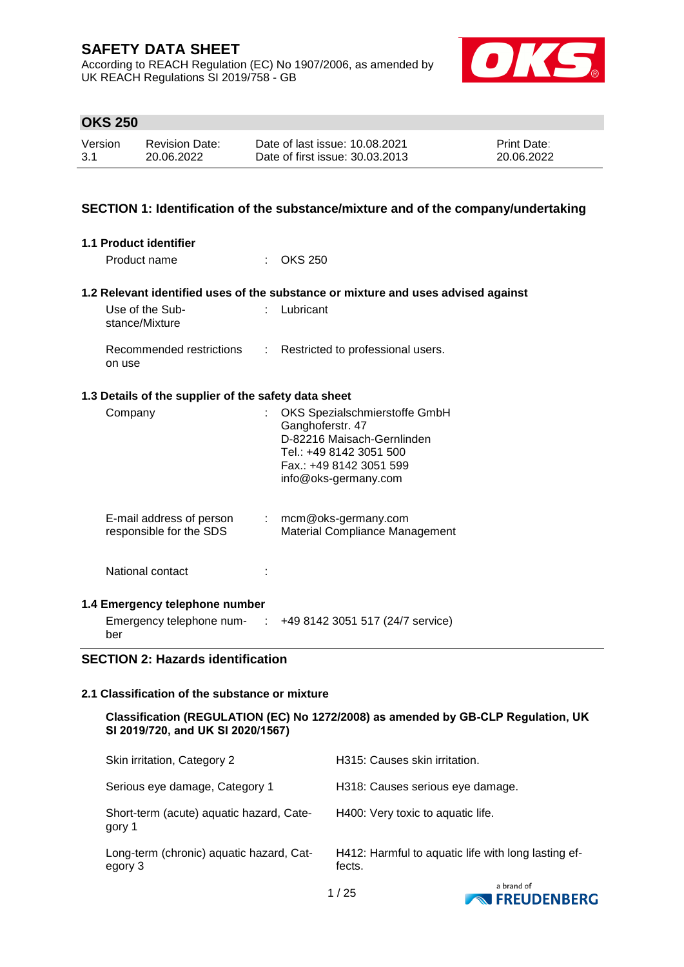According to REACH Regulation (EC) No 1907/2006, as amended by UK REACH Regulations SI 2019/758 - GB



# **OKS 250**

| Version | <b>Revision Date:</b> | Date of last issue: 10.08.2021  | <b>Print Date:</b> |
|---------|-----------------------|---------------------------------|--------------------|
| 3.1     | 20.06.2022            | Date of first issue: 30.03.2013 | 20.06.2022         |

## **SECTION 1: Identification of the substance/mixture and of the company/undertaking**

| <b>1.1 Product identifier</b>                        |               |                                                                                                                                                               |
|------------------------------------------------------|---------------|---------------------------------------------------------------------------------------------------------------------------------------------------------------|
| Product name                                         |               | OKS 250                                                                                                                                                       |
|                                                      |               | 1.2 Relevant identified uses of the substance or mixture and uses advised against                                                                             |
| Use of the Sub-<br>stance/Mixture                    |               | Lubricant                                                                                                                                                     |
| Recommended restrictions<br>on use                   | $\mathcal{L}$ | Restricted to professional users.                                                                                                                             |
| 1.3 Details of the supplier of the safety data sheet |               |                                                                                                                                                               |
| Company                                              |               | OKS Spezialschmierstoffe GmbH<br>Ganghoferstr. 47<br>D-82216 Maisach-Gernlinden<br>Tel.: +49 8142 3051 500<br>Fax.: +49 8142 3051 599<br>info@oks-germany.com |
| E-mail address of person<br>responsible for the SDS  |               | $:$ mcm@oks-germany.com<br>Material Compliance Management                                                                                                     |
| National contact                                     |               |                                                                                                                                                               |
| 1.4 Emergency telephone number                       |               |                                                                                                                                                               |
| Emergency telephone num- :<br>ber                    |               | +49 8142 3051 517 (24/7 service)                                                                                                                              |

## **SECTION 2: Hazards identification**

#### **2.1 Classification of the substance or mixture**

**Classification (REGULATION (EC) No 1272/2008) as amended by GB-CLP Regulation, UK SI 2019/720, and UK SI 2020/1567)**

| Skin irritation, Category 2                         | H315: Causes skin irritation.                                 |
|-----------------------------------------------------|---------------------------------------------------------------|
| Serious eye damage, Category 1                      | H318: Causes serious eye damage.                              |
| Short-term (acute) aquatic hazard, Cate-<br>gory 1  | H400: Very toxic to aquatic life.                             |
| Long-term (chronic) aquatic hazard, Cat-<br>egory 3 | H412: Harmful to aquatic life with long lasting ef-<br>fects. |
|                                                     | a brand of                                                    |

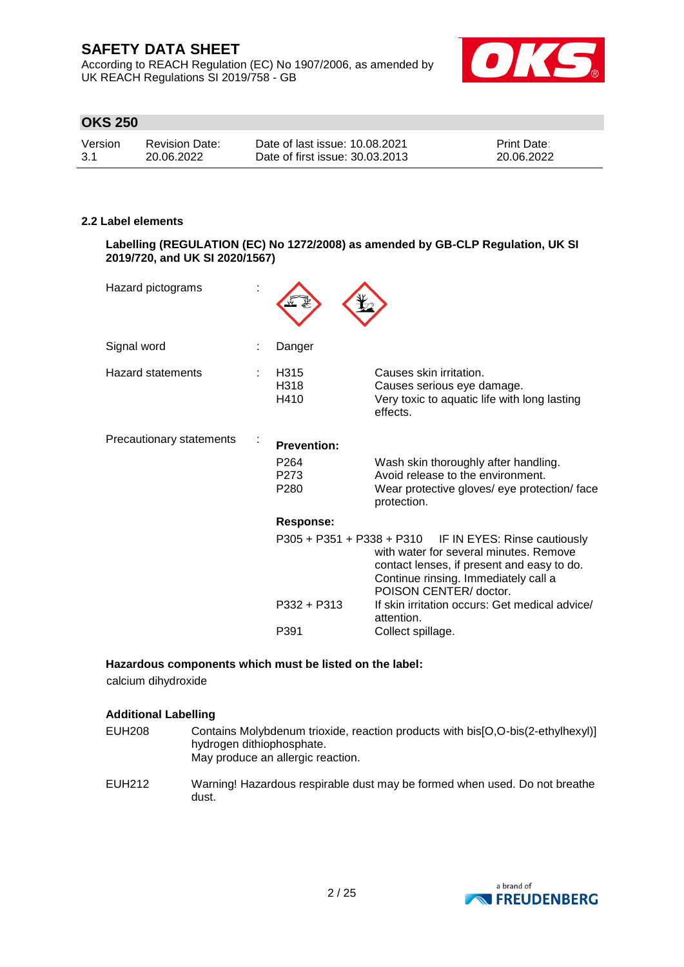According to REACH Regulation (EC) No 1907/2006, as amended by UK REACH Regulations SI 2019/758 - GB



# **OKS 250**

| Version | <b>Revision Date:</b> | Date of last issue: 10.08.2021  | <b>Print Date:</b> |
|---------|-----------------------|---------------------------------|--------------------|
| -3.1    | 20.06.2022            | Date of first issue: 30.03.2013 | 20.06.2022         |

### **2.2 Label elements**

**Labelling (REGULATION (EC) No 1272/2008) as amended by GB-CLP Regulation, UK SI 2019/720, and UK SI 2020/1567)**

| Hazard pictograms        |                                              |                                                                                                                                                                                                                  |
|--------------------------|----------------------------------------------|------------------------------------------------------------------------------------------------------------------------------------------------------------------------------------------------------------------|
| Signal word              | Danger                                       |                                                                                                                                                                                                                  |
| Hazard statements        | H315<br>H318<br>H410                         | Causes skin irritation.<br>Causes serious eye damage.<br>Very toxic to aquatic life with long lasting<br>effects.                                                                                                |
| Precautionary statements | <b>Prevention:</b>                           |                                                                                                                                                                                                                  |
|                          | P <sub>264</sub><br>P273<br>P <sub>280</sub> | Wash skin thoroughly after handling.<br>Avoid release to the environment.<br>Wear protective gloves/ eye protection/ face<br>protection.                                                                         |
|                          | Response:                                    |                                                                                                                                                                                                                  |
|                          |                                              | P305 + P351 + P338 + P310 IF IN EYES: Rinse cautiously<br>with water for several minutes. Remove<br>contact lenses, if present and easy to do.<br>Continue rinsing. Immediately call a<br>POISON CENTER/ doctor. |
|                          | P332 + P313                                  | If skin irritation occurs: Get medical advice/<br>attention.                                                                                                                                                     |
|                          | P391                                         | Collect spillage.                                                                                                                                                                                                |

## **Hazardous components which must be listed on the label:**

calcium dihydroxide

### **Additional Labelling**

- EUH208 Contains Molybdenum trioxide, reaction products with bis[O,O-bis(2-ethylhexyl)] hydrogen dithiophosphate. May produce an allergic reaction.
- EUH212 Warning! Hazardous respirable dust may be formed when used. Do not breathe dust.

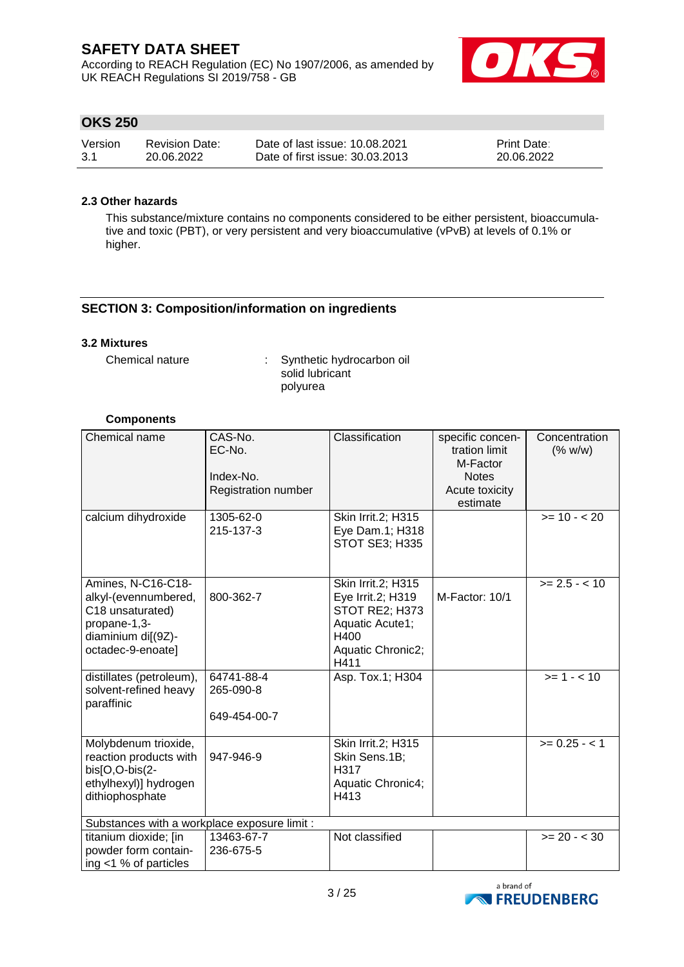According to REACH Regulation (EC) No 1907/2006, as amended by UK REACH Regulations SI 2019/758 - GB



# **OKS 250**

| Version | <b>Revision Date:</b> | Date of last issue: 10.08.2021  | <b>Print Date:</b> |
|---------|-----------------------|---------------------------------|--------------------|
| -3.1    | 20.06.2022            | Date of first issue: 30.03.2013 | 20.06.2022         |

## **2.3 Other hazards**

This substance/mixture contains no components considered to be either persistent, bioaccumulative and toxic (PBT), or very persistent and very bioaccumulative (vPvB) at levels of 0.1% or higher.

## **SECTION 3: Composition/information on ingredients**

### **3.2 Mixtures**

Chemical nature : Synthetic hydrocarbon oil solid lubricant polyurea

## **Components**

| Chemical name                                                                                                             | CAS-No.<br>EC-No.<br>Index-No.<br>Registration number | Classification                                                                                                    | specific concen-<br>tration limit<br>M-Factor<br><b>Notes</b><br>Acute toxicity<br>estimate | Concentration<br>(% w/w) |
|---------------------------------------------------------------------------------------------------------------------------|-------------------------------------------------------|-------------------------------------------------------------------------------------------------------------------|---------------------------------------------------------------------------------------------|--------------------------|
| calcium dihydroxide                                                                                                       | 1305-62-0<br>215-137-3                                | Skin Irrit.2; H315<br>Eye Dam.1; H318<br>STOT SE3; H335                                                           |                                                                                             | $>= 10 - 20$             |
| Amines, N-C16-C18-<br>alkyl-(evennumbered,<br>C18 unsaturated)<br>propane-1,3-<br>diaminium di[(9Z)-<br>octadec-9-enoate] | 800-362-7                                             | Skin Irrit.2; H315<br>Eye Irrit.2; H319<br>STOT RE2; H373<br>Aquatic Acute1;<br>H400<br>Aquatic Chronic2;<br>H411 | M-Factor: 10/1                                                                              | $>= 2.5 - < 10$          |
| distillates (petroleum),<br>solvent-refined heavy<br>paraffinic                                                           | 64741-88-4<br>265-090-8<br>649-454-00-7               | Asp. Tox.1; H304                                                                                                  |                                                                                             | $>= 1 - 10$              |
| Molybdenum trioxide,<br>reaction products with<br>bis[O,O-bis(2-<br>ethylhexyl)] hydrogen<br>dithiophosphate              | 947-946-9                                             | Skin Irrit.2; H315<br>Skin Sens.1B;<br>H317<br>Aquatic Chronic4;<br>H413                                          |                                                                                             | $>= 0.25 - 1$            |
| Substances with a workplace exposure limit :                                                                              |                                                       |                                                                                                                   |                                                                                             |                          |
| titanium dioxide; [in<br>powder form contain-<br>ing $<$ 1 % of particles                                                 | 13463-67-7<br>236-675-5                               | Not classified                                                                                                    |                                                                                             | $>= 20 - < 30$           |

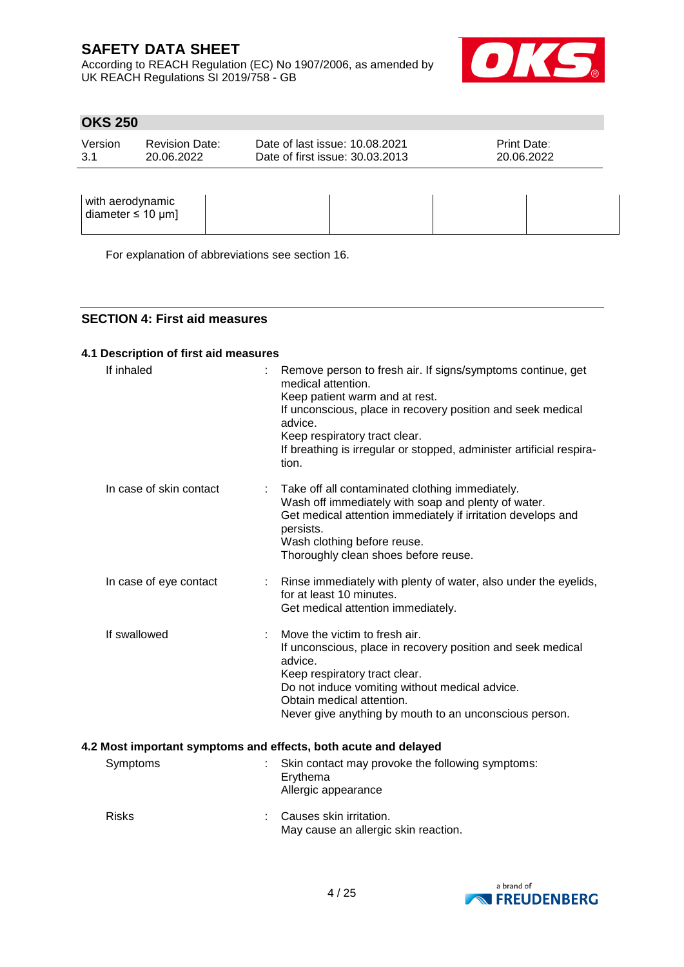According to REACH Regulation (EC) No 1907/2006, as amended by UK REACH Regulations SI 2019/758 - GB



# **OKS 250**

| Version | <b>Revision Date:</b> | Date of last issue: 10.08.2021  | <b>Print Date:</b> |
|---------|-----------------------|---------------------------------|--------------------|
| -3.1    | 20.06.2022            | Date of first issue: 30.03.2013 | 20.06.2022         |
|         |                       |                                 |                    |

| with aerodynamic<br>diameter $\leq 10$ µm] |  |  |
|--------------------------------------------|--|--|
|                                            |  |  |

For explanation of abbreviations see section 16.

### **SECTION 4: First aid measures**

### **4.1 Description of first aid measures**

| If inhaled              | Remove person to fresh air. If signs/symptoms continue, get<br>medical attention.<br>Keep patient warm and at rest.<br>If unconscious, place in recovery position and seek medical<br>advice.<br>Keep respiratory tract clear.<br>If breathing is irregular or stopped, administer artificial respira-<br>tion. |
|-------------------------|-----------------------------------------------------------------------------------------------------------------------------------------------------------------------------------------------------------------------------------------------------------------------------------------------------------------|
| In case of skin contact | Take off all contaminated clothing immediately.<br>Wash off immediately with soap and plenty of water.<br>Get medical attention immediately if irritation develops and<br>persists.<br>Wash clothing before reuse.<br>Thoroughly clean shoes before reuse.                                                      |
| In case of eye contact  | Rinse immediately with plenty of water, also under the eyelids,<br>for at least 10 minutes.<br>Get medical attention immediately.                                                                                                                                                                               |
| If swallowed            | Move the victim to fresh air.<br>If unconscious, place in recovery position and seek medical<br>advice.<br>Keep respiratory tract clear.<br>Do not induce vomiting without medical advice.<br>Obtain medical attention.<br>Never give anything by mouth to an unconscious person.                               |
|                         | 4.2 Most important symptoms and effects, both acute and delayed                                                                                                                                                                                                                                                 |
| Symptoms                | Skin contact may provoke the following symptoms:<br>Erythema<br>Allergic appearance                                                                                                                                                                                                                             |
| <b>Risks</b>            | Causes skin irritation.<br>May cause an allergic skin reaction.                                                                                                                                                                                                                                                 |

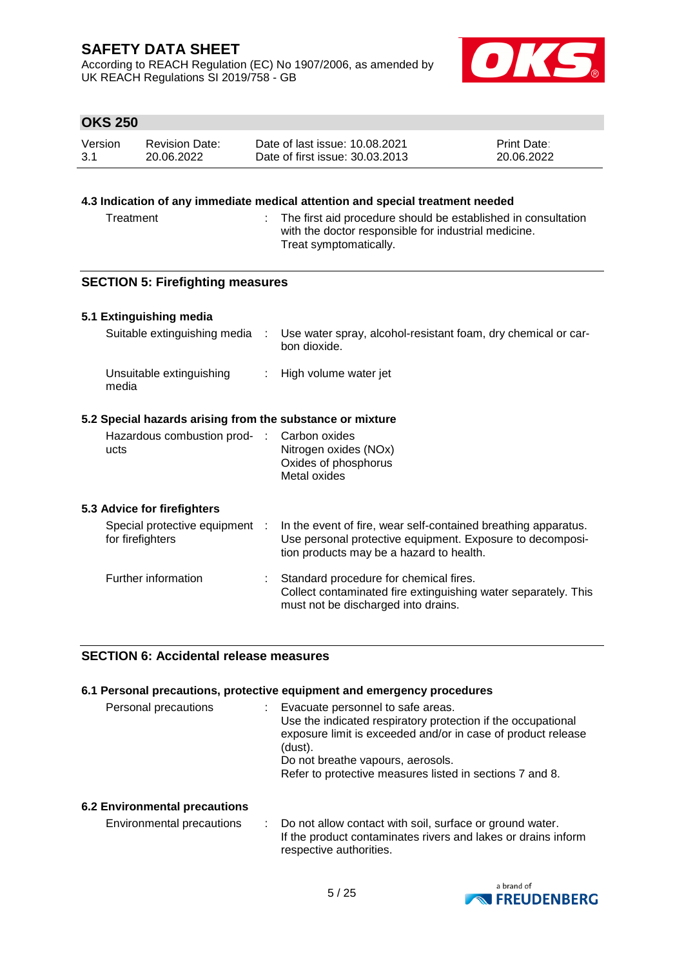According to REACH Regulation (EC) No 1907/2006, as amended by UK REACH Regulations SI 2019/758 - GB



# **OKS 250**

| Version | <b>Revision Date:</b> | Date of last issue: 10.08.2021  | <b>Print Date:</b> |
|---------|-----------------------|---------------------------------|--------------------|
| -3.1    | 20.06.2022            | Date of first issue: 30.03.2013 | 20.06.2022         |

### **4.3 Indication of any immediate medical attention and special treatment needed**

Treatment : The first aid procedure should be established in consultation with the doctor responsible for industrial medicine. Treat symptomatically.

## **SECTION 5: Firefighting measures**

### **5.1 Extinguishing media**

| Suitable extinguishing media                              | ÷ | Use water spray, alcohol-resistant foam, dry chemical or car-<br>bon dioxide. |  |
|-----------------------------------------------------------|---|-------------------------------------------------------------------------------|--|
| Unsuitable extinguishing<br>media                         |   | : High volume water jet                                                       |  |
| 5.2 Special hazards arising from the substance or mixture |   |                                                                               |  |

| Hazardous combustion prod- : Carbon oxides |                       |
|--------------------------------------------|-----------------------|
| ucts                                       | Nitrogen oxides (NOx) |
|                                            | Oxides of phosphorus  |
|                                            | Metal oxides          |

## **5.3 Advice for firefighters**

| Special protective equipment<br>for firefighters | In the event of fire, wear self-contained breathing apparatus.<br>Use personal protective equipment. Exposure to decomposi-<br>tion products may be a hazard to health. |
|--------------------------------------------------|-------------------------------------------------------------------------------------------------------------------------------------------------------------------------|
| Further information                              | Standard procedure for chemical fires.<br>Collect contaminated fire extinguishing water separately. This<br>must not be discharged into drains.                         |

## **SECTION 6: Accidental release measures**

## **6.1 Personal precautions, protective equipment and emergency procedures**

| Personal precautions | Evacuate personnel to safe areas.<br>Use the indicated respiratory protection if the occupational<br>exposure limit is exceeded and/or in case of product release<br>(dust).<br>Do not breathe vapours, aerosols.<br>Refer to protective measures listed in sections 7 and 8. |
|----------------------|-------------------------------------------------------------------------------------------------------------------------------------------------------------------------------------------------------------------------------------------------------------------------------|
|                      |                                                                                                                                                                                                                                                                               |

## **6.2 Environmental precautions**

Environmental precautions : Do not allow contact with soil, surface or ground water. If the product contaminates rivers and lakes or drains inform respective authorities.

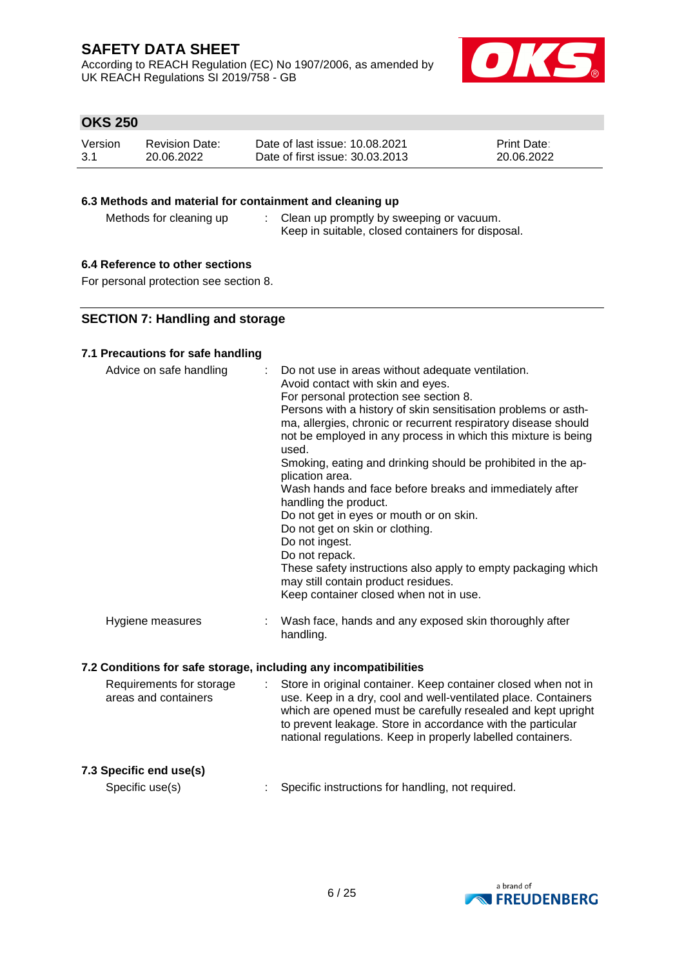According to REACH Regulation (EC) No 1907/2006, as amended by UK REACH Regulations SI 2019/758 - GB



# **OKS 250**

| Version | <b>Revision Date:</b> | Date of last issue: 10.08.2021  | <b>Print Date:</b> |
|---------|-----------------------|---------------------------------|--------------------|
| -3.1    | 20.06.2022            | Date of first issue: 30.03.2013 | 20.06.2022         |

## **6.3 Methods and material for containment and cleaning up**

Methods for cleaning up : Clean up promptly by sweeping or vacuum. Keep in suitable, closed containers for disposal.

## **6.4 Reference to other sections**

For personal protection see section 8.

## **SECTION 7: Handling and storage**

## **7.1 Precautions for safe handling**

| Advice on safe handling | : Do not use in areas without adequate ventilation.<br>Avoid contact with skin and eyes.<br>For personal protection see section 8.<br>Persons with a history of skin sensitisation problems or asth-<br>ma, allergies, chronic or recurrent respiratory disease should<br>not be employed in any process in which this mixture is being<br>used.<br>Smoking, eating and drinking should be prohibited in the ap-<br>plication area.<br>Wash hands and face before breaks and immediately after<br>handling the product.<br>Do not get in eyes or mouth or on skin.<br>Do not get on skin or clothing.<br>Do not ingest.<br>Do not repack.<br>These safety instructions also apply to empty packaging which<br>may still contain product residues.<br>Keep container closed when not in use. |
|-------------------------|---------------------------------------------------------------------------------------------------------------------------------------------------------------------------------------------------------------------------------------------------------------------------------------------------------------------------------------------------------------------------------------------------------------------------------------------------------------------------------------------------------------------------------------------------------------------------------------------------------------------------------------------------------------------------------------------------------------------------------------------------------------------------------------------|
| Hygiene measures        | : Wash face, hands and any exposed skin thoroughly after<br>handling.                                                                                                                                                                                                                                                                                                                                                                                                                                                                                                                                                                                                                                                                                                                       |

### **7.2 Conditions for safe storage, including any incompatibilities**

| to prevent leakage. Store in accordance with the particular<br>national regulations. Keep in properly labelled containers. |
|----------------------------------------------------------------------------------------------------------------------------|
|----------------------------------------------------------------------------------------------------------------------------|

# **7.3 Specific end use(s)**

Specific use(s) : Specific instructions for handling, not required.

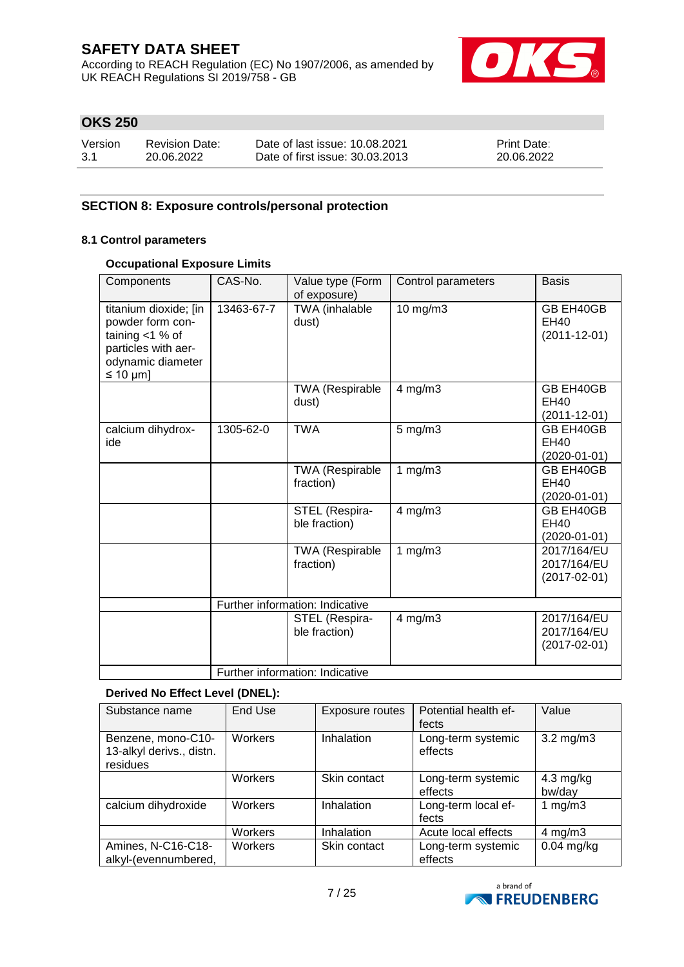According to REACH Regulation (EC) No 1907/2006, as amended by UK REACH Regulations SI 2019/758 - GB



# **OKS 250**

| Version | Revision Date: | Date of last issue: 10.08.2021  | <b>Print Date:</b> |
|---------|----------------|---------------------------------|--------------------|
| -3.1    | 20.06.2022     | Date of first issue: 30.03.2013 | 20.06.2022         |

# **SECTION 8: Exposure controls/personal protection**

## **8.1 Control parameters**

## **Occupational Exposure Limits**

| Components                                                                                                                       | CAS-No.                         | Value type (Form<br>of exposure)    | Control parameters | <b>Basis</b>                                     |
|----------------------------------------------------------------------------------------------------------------------------------|---------------------------------|-------------------------------------|--------------------|--------------------------------------------------|
| titanium dioxide; [in<br>powder form con-<br>taining $<$ 1 % of<br>particles with aer-<br>odynamic diameter<br>$\leq 10 \mu m$ ] | 13463-67-7                      | TWA (inhalable<br>dust)             | 10 mg/m3           | GB EH40GB<br>EH40<br>$(2011 - 12 - 01)$          |
|                                                                                                                                  |                                 | TWA (Respirable<br>dust)            | $4$ mg/m $3$       | GB EH40GB<br>EH40<br>$(2011 - 12 - 01)$          |
| calcium dihydrox-<br>ide                                                                                                         | 1305-62-0                       | <b>TWA</b>                          | $5$ mg/m $3$       | GB EH40GB<br><b>EH40</b><br>$(2020-01-01)$       |
|                                                                                                                                  |                                 | <b>TWA (Respirable</b><br>fraction) | 1 $mg/m3$          | GB EH40GB<br>EH40<br>$(2020-01-01)$              |
|                                                                                                                                  |                                 | STEL (Respira-<br>ble fraction)     | $4$ mg/m $3$       | GB EH40GB<br>EH40<br>$(2020-01-01)$              |
|                                                                                                                                  |                                 | TWA (Respirable<br>fraction)        | 1 $mg/m3$          | 2017/164/EU<br>2017/164/EU<br>$(2017 - 02 - 01)$ |
|                                                                                                                                  | Further information: Indicative |                                     |                    |                                                  |
|                                                                                                                                  |                                 | STEL (Respira-<br>ble fraction)     | 4 mg/m3            | 2017/164/EU<br>2017/164/EU<br>$(2017 - 02 - 01)$ |
|                                                                                                                                  | Further information: Indicative |                                     |                    |                                                  |

#### **Derived No Effect Level (DNEL):**

| Substance name                                             | End Use        | <b>Exposure routes</b> | Potential health ef-<br>fects | Value                         |
|------------------------------------------------------------|----------------|------------------------|-------------------------------|-------------------------------|
| Benzene, mono-C10-<br>13-alkyl derivs., distn.<br>residues | <b>Workers</b> | Inhalation             | Long-term systemic<br>effects | $3.2 \text{ mg/m}$ 3          |
|                                                            | Workers        | Skin contact           | Long-term systemic<br>effects | $4.3 \text{ mg/kg}$<br>bw/day |
| calcium dihydroxide                                        | Workers        | Inhalation             | Long-term local ef-<br>fects  | 1 mg/m $3$                    |
|                                                            | Workers        | Inhalation             | Acute local effects           | $4$ mg/m $3$                  |
| Amines, N-C16-C18-<br>alkyl-(evennumbered,                 | Workers        | Skin contact           | Long-term systemic<br>effects | $0.04$ mg/kg                  |

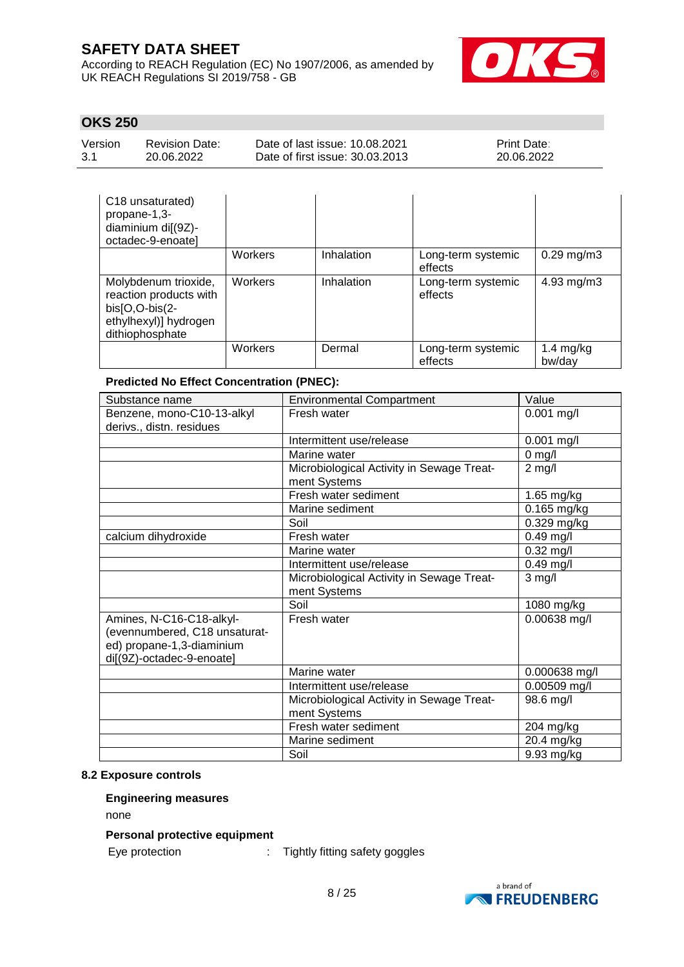According to REACH Regulation (EC) No 1907/2006, as amended by UK REACH Regulations SI 2019/758 - GB



# **OKS 250**

| Version | <b>Revision Date:</b> | Date of last issue: 10.08.2021  | <b>Print Date:</b> |
|---------|-----------------------|---------------------------------|--------------------|
| 3.1     | 20.06.2022            | Date of first issue: 30.03.2013 | 20.06.2022         |

| C18 unsaturated)<br>propane-1,3-<br>diaminium di[(9Z)-<br>octadec-9-enoate]                                    |         |            |                               |                         |
|----------------------------------------------------------------------------------------------------------------|---------|------------|-------------------------------|-------------------------|
|                                                                                                                | Workers | Inhalation | Long-term systemic<br>effects | $0.29 \,\mathrm{mg/m3}$ |
| Molybdenum trioxide,<br>reaction products with<br>$bis[O,O-bis(2-$<br>ethylhexyl)] hydrogen<br>dithiophosphate | Workers | Inhalation | Long-term systemic<br>effects | 4.93 mg/m3              |
|                                                                                                                | Workers | Dermal     | Long-term systemic<br>effects | 1.4 $mg/kg$<br>bw/day   |

## **Predicted No Effect Concentration (PNEC):**

| Substance name                | <b>Environmental Compartment</b>          | Value         |
|-------------------------------|-------------------------------------------|---------------|
| Benzene, mono-C10-13-alkyl    | Fresh water                               | $0.001$ mg/l  |
| derivs., distn. residues      |                                           |               |
|                               | Intermittent use/release                  | $0.001$ mg/l  |
|                               | Marine water                              | $0$ mg/l      |
|                               | Microbiological Activity in Sewage Treat- | $2$ mg/l      |
|                               | ment Systems                              |               |
|                               | Fresh water sediment                      | 1.65 mg/kg    |
|                               | Marine sediment                           | 0.165 mg/kg   |
|                               | Soil                                      | $0.329$ mg/kg |
| calcium dihydroxide           | Fresh water                               | $0.49$ mg/l   |
|                               | Marine water                              | $0.32$ mg/l   |
|                               | Intermittent use/release                  | $0.49$ mg/l   |
|                               | Microbiological Activity in Sewage Treat- | $3$ mg/l      |
|                               | ment Systems                              |               |
|                               | Soil                                      | 1080 mg/kg    |
| Amines, N-C16-C18-alkyl-      | Fresh water                               | 0.00638 mg/l  |
| (evennumbered, C18 unsaturat- |                                           |               |
| ed) propane-1,3-diaminium     |                                           |               |
| di[(9Z)-octadec-9-enoate]     |                                           |               |
|                               | Marine water                              | 0.000638 mg/l |
|                               | Intermittent use/release                  | 0.00509 mg/l  |
|                               | Microbiological Activity in Sewage Treat- | 98.6 mg/l     |
|                               | ment Systems                              |               |
|                               | Fresh water sediment                      | 204 mg/kg     |
|                               | Marine sediment                           | 20.4 mg/kg    |
|                               | Soil                                      | 9.93 mg/kg    |

## **8.2 Exposure controls**

## **Engineering measures**

none

## **Personal protective equipment**

Eye protection : Tightly fitting safety goggles

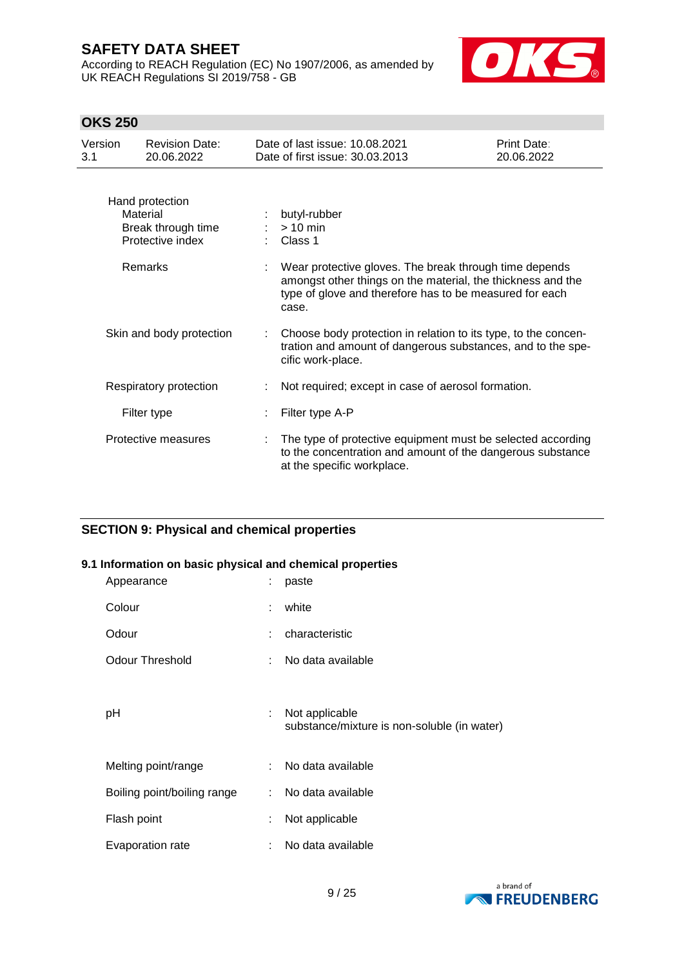According to REACH Regulation (EC) No 1907/2006, as amended by UK REACH Regulations SI 2019/758 - GB



# **OKS 250**

| Version<br>3.1 | <b>Revision Date:</b><br>20.06.2022                                   | Date of last issue: 10.08.2021<br>Date of first issue: 30,03,2013                                                                                                                         | <b>Print Date:</b><br>20.06.2022 |
|----------------|-----------------------------------------------------------------------|-------------------------------------------------------------------------------------------------------------------------------------------------------------------------------------------|----------------------------------|
|                | Hand protection<br>Material<br>Break through time<br>Protective index | butyl-rubber<br>$> 10$ min<br>Class 1                                                                                                                                                     |                                  |
|                | <b>Remarks</b>                                                        | Wear protective gloves. The break through time depends<br>amongst other things on the material, the thickness and the<br>type of glove and therefore has to be measured for each<br>case. |                                  |
|                | Skin and body protection                                              | Choose body protection in relation to its type, to the concen-<br>tration and amount of dangerous substances, and to the spe-<br>cific work-place.                                        |                                  |
|                | Respiratory protection                                                | Not required; except in case of aerosol formation.                                                                                                                                        |                                  |
|                | Filter type                                                           | Filter type A-P                                                                                                                                                                           |                                  |
|                | Protective measures                                                   | The type of protective equipment must be selected according<br>to the concentration and amount of the dangerous substance<br>at the specific workplace.                                   |                                  |

# **SECTION 9: Physical and chemical properties**

### **9.1 Information on basic physical and chemical properties**

| Appearance                  |    | paste                                                         |
|-----------------------------|----|---------------------------------------------------------------|
| Colour                      | ÷  | white                                                         |
| Odour                       |    | characteristic                                                |
| <b>Odour Threshold</b>      |    | No data available                                             |
|                             |    |                                                               |
| рH                          |    | Not applicable<br>substance/mixture is non-soluble (in water) |
|                             |    |                                                               |
| Melting point/range         |    | No data available                                             |
| Boiling point/boiling range | ÷. | No data available                                             |
| Flash point                 | ÷  | Not applicable                                                |
| Evaporation rate            |    | No data available                                             |

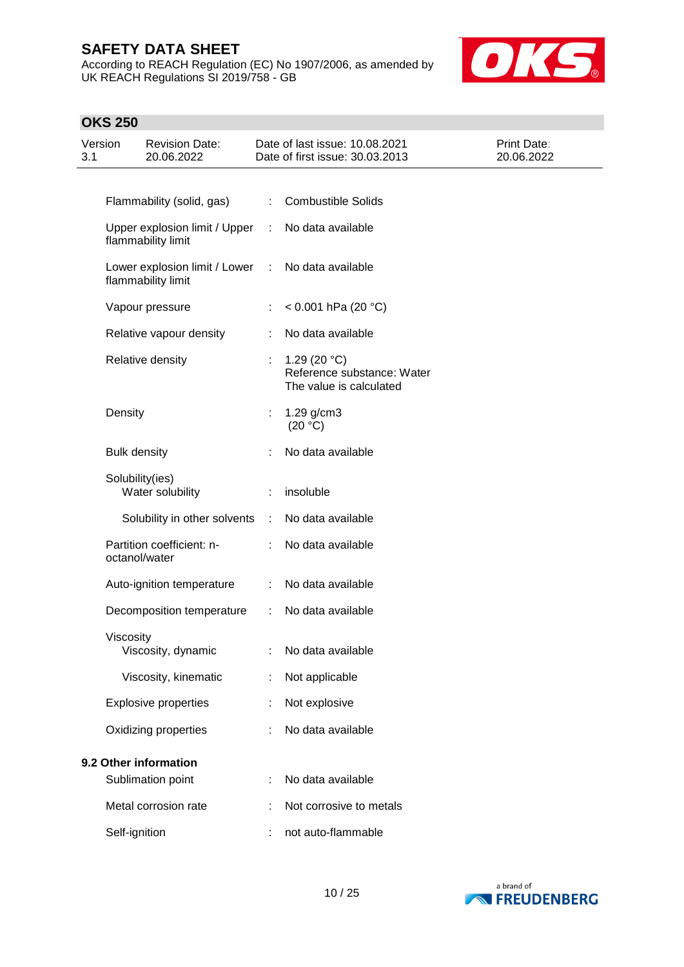According to REACH Regulation (EC) No 1907/2006, as amended by UK REACH Regulations SI 2019/758 - GB



# **OKS 250**

| Version<br>3.1 |                     | <b>Revision Date:</b><br>20.06.2022                   |    | Date of last issue: 10.08.2021<br>Date of first issue: 30.03.2013        | <b>Print Date:</b><br>20.06.2022 |
|----------------|---------------------|-------------------------------------------------------|----|--------------------------------------------------------------------------|----------------------------------|
|                |                     |                                                       |    |                                                                          |                                  |
|                |                     | Flammability (solid, gas)                             | t. | <b>Combustible Solids</b>                                                |                                  |
|                |                     | Upper explosion limit / Upper<br>flammability limit   | ÷. | No data available                                                        |                                  |
|                |                     | Lower explosion limit / Lower :<br>flammability limit |    | No data available                                                        |                                  |
|                |                     | Vapour pressure                                       |    | $< 0.001$ hPa (20 °C)                                                    |                                  |
|                |                     | Relative vapour density                               |    | No data available                                                        |                                  |
|                |                     | Relative density                                      |    | 1.29 (20 $°C$ )<br>Reference substance: Water<br>The value is calculated |                                  |
|                | Density             |                                                       | ÷  | 1.29 g/cm3<br>(20 °C)                                                    |                                  |
|                | <b>Bulk density</b> |                                                       |    | No data available                                                        |                                  |
|                |                     | Solubility(ies)<br>Water solubility                   |    | insoluble                                                                |                                  |
|                |                     | Solubility in other solvents :                        |    | No data available                                                        |                                  |
|                |                     | Partition coefficient: n-<br>octanol/water            |    | No data available                                                        |                                  |
|                |                     | Auto-ignition temperature                             | ÷. | No data available                                                        |                                  |
|                |                     | Decomposition temperature                             | ÷. | No data available                                                        |                                  |
|                | Viscosity           | Viscosity, dynamic                                    |    | : No data available                                                      |                                  |
|                |                     | Viscosity, kinematic                                  |    | Not applicable                                                           |                                  |
|                |                     | <b>Explosive properties</b>                           |    | Not explosive                                                            |                                  |
|                |                     | Oxidizing properties                                  |    | No data available                                                        |                                  |
|                |                     | 9.2 Other information                                 |    |                                                                          |                                  |
|                |                     | Sublimation point                                     |    | No data available                                                        |                                  |
|                |                     | Metal corrosion rate                                  |    | Not corrosive to metals                                                  |                                  |
|                | Self-ignition       |                                                       |    | not auto-flammable                                                       |                                  |

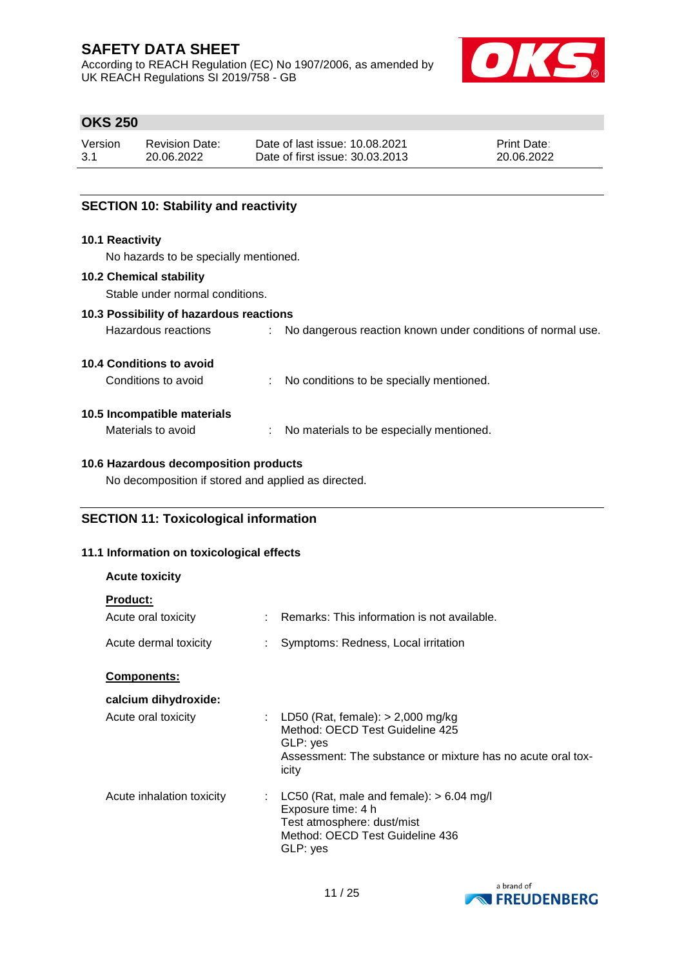According to REACH Regulation (EC) No 1907/2006, as amended by UK REACH Regulations SI 2019/758 - GB



# **OKS 250**

| Version | <b>Revision Date:</b> | Date of last issue: 10.08.2021  | <b>Print Date:</b> |
|---------|-----------------------|---------------------------------|--------------------|
| 3.1     | 20.06.2022            | Date of first issue: 30.03.2013 | 20.06.2022         |

## **SECTION 10: Stability and reactivity**

## **10.1 Reactivity**

No hazards to be specially mentioned.

#### **10.2 Chemical stability**

Stable under normal conditions.

## **10.3 Possibility of hazardous reactions**

| Hazardous reactions |  | No dangerous reaction known under conditions of normal use. |
|---------------------|--|-------------------------------------------------------------|
|---------------------|--|-------------------------------------------------------------|

#### **10.4 Conditions to avoid**

| Conditions to avoid |  | No conditions to be specially mentioned. |
|---------------------|--|------------------------------------------|
|---------------------|--|------------------------------------------|

# **10.5 Incompatible materials**

| Materials to avoid |  | No materials to be especially mentioned. |
|--------------------|--|------------------------------------------|
|--------------------|--|------------------------------------------|

### **10.6 Hazardous decomposition products**

No decomposition if stored and applied as directed.

# **SECTION 11: Toxicological information**

## **11.1 Information on toxicological effects**

| <b>Acute toxicity</b>     |    |                                                                                                                                                              |
|---------------------------|----|--------------------------------------------------------------------------------------------------------------------------------------------------------------|
| <b>Product:</b>           |    |                                                                                                                                                              |
| Acute oral toxicity       |    | Remarks: This information is not available.                                                                                                                  |
| Acute dermal toxicity     |    | Symptoms: Redness, Local irritation                                                                                                                          |
| Components:               |    |                                                                                                                                                              |
| calcium dihydroxide:      |    |                                                                                                                                                              |
| Acute oral toxicity       |    | : LD50 (Rat, female): $> 2,000$ mg/kg<br>Method: OECD Test Guideline 425<br>GLP: yes<br>Assessment: The substance or mixture has no acute oral tox-<br>icity |
| Acute inhalation toxicity | ÷. | LC50 (Rat, male and female): $> 6.04$ mg/l<br>Exposure time: 4 h<br>Test atmosphere: dust/mist<br>Method: OECD Test Guideline 436<br>GLP: yes                |

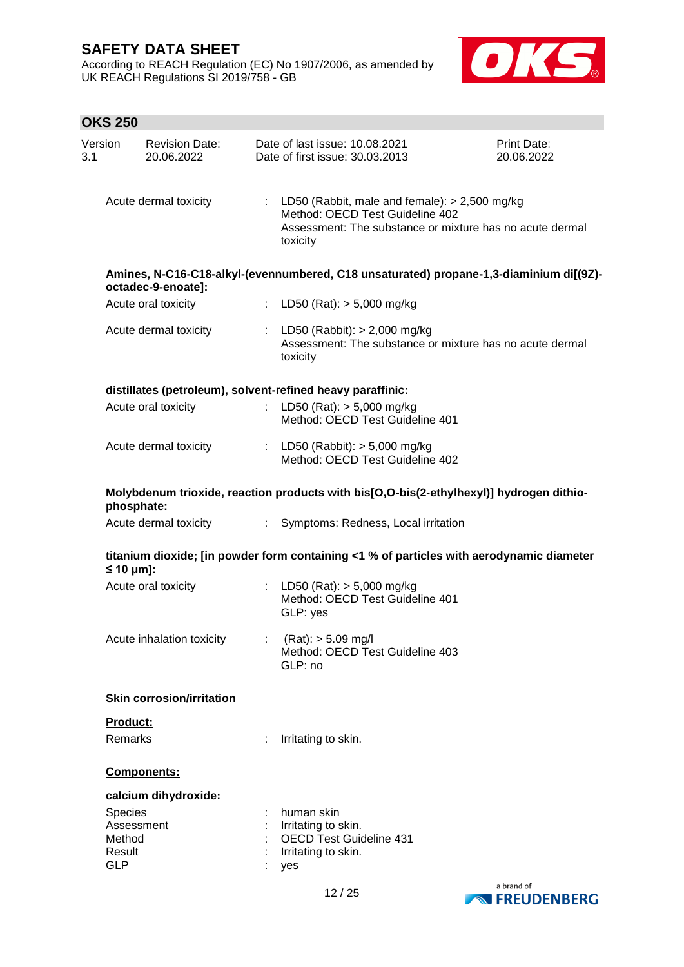According to REACH Regulation (EC) No 1907/2006, as amended by UK REACH Regulations SI 2019/758 - GB



# **OKS 250**

| Version<br>3.1                 | <b>Revision Date:</b><br>20.06.2022                                                                   |                | Date of last issue: 10.08.2021<br>Date of first issue: 30.03.2013                                 |                                                                                      | Print Date:<br>20.06.2022                                                                |
|--------------------------------|-------------------------------------------------------------------------------------------------------|----------------|---------------------------------------------------------------------------------------------------|--------------------------------------------------------------------------------------|------------------------------------------------------------------------------------------|
|                                | Acute dermal toxicity                                                                                 |                | toxicity                                                                                          | : LD50 (Rabbit, male and female): $> 2,500$ mg/kg<br>Method: OECD Test Guideline 402 | Assessment: The substance or mixture has no acute dermal                                 |
|                                | octadec-9-enoate]:                                                                                    |                |                                                                                                   |                                                                                      | Amines, N-C16-C18-alkyl-(evennumbered, C18 unsaturated) propane-1,3-diaminium di[(9Z)-   |
|                                | Acute oral toxicity                                                                                   |                | : LD50 (Rat): $> 5,000$ mg/kg                                                                     |                                                                                      |                                                                                          |
|                                | Acute dermal toxicity                                                                                 | ÷              | toxicity                                                                                          | LD50 (Rabbit): $> 2,000$ mg/kg                                                       | Assessment: The substance or mixture has no acute dermal                                 |
|                                | distillates (petroleum), solvent-refined heavy paraffinic:                                            |                |                                                                                                   |                                                                                      |                                                                                          |
|                                | Acute oral toxicity                                                                                   | $\mathbb{C}^2$ | LD50 (Rat): $> 5,000$ mg/kg                                                                       | Method: OECD Test Guideline 401                                                      |                                                                                          |
|                                | Acute dermal toxicity                                                                                 |                |                                                                                                   | : LD50 (Rabbit): $> 5,000$ mg/kg<br>Method: OECD Test Guideline 402                  |                                                                                          |
|                                | Molybdenum trioxide, reaction products with bis[O,O-bis(2-ethylhexyl)] hydrogen dithio-<br>phosphate: |                |                                                                                                   |                                                                                      |                                                                                          |
|                                | Acute dermal toxicity                                                                                 |                |                                                                                                   | : Symptoms: Redness, Local irritation                                                |                                                                                          |
|                                | $\leq 10$ µm]:                                                                                        |                |                                                                                                   |                                                                                      | titanium dioxide; [in powder form containing <1 % of particles with aerodynamic diameter |
|                                | Acute oral toxicity                                                                                   | ÷              | LD50 (Rat): $> 5,000$ mg/kg<br>GLP: yes                                                           | Method: OECD Test Guideline 401                                                      |                                                                                          |
|                                | Acute inhalation toxicity                                                                             |                | (Rat): > 5.09 mg/l<br>GLP: no                                                                     | Method: OECD Test Guideline 403                                                      |                                                                                          |
|                                | <b>Skin corrosion/irritation</b>                                                                      |                |                                                                                                   |                                                                                      |                                                                                          |
|                                | Product:                                                                                              |                |                                                                                                   |                                                                                      |                                                                                          |
|                                | Remarks                                                                                               |                | Irritating to skin.                                                                               |                                                                                      |                                                                                          |
|                                | Components:                                                                                           |                |                                                                                                   |                                                                                      |                                                                                          |
|                                | calcium dihydroxide:                                                                                  |                |                                                                                                   |                                                                                      |                                                                                          |
| Method<br>Result<br><b>GLP</b> | Species<br>Assessment                                                                                 |                | human skin<br>Irritating to skin.<br><b>OECD Test Guideline 431</b><br>Irritating to skin.<br>yes |                                                                                      |                                                                                          |
|                                |                                                                                                       |                |                                                                                                   |                                                                                      |                                                                                          |

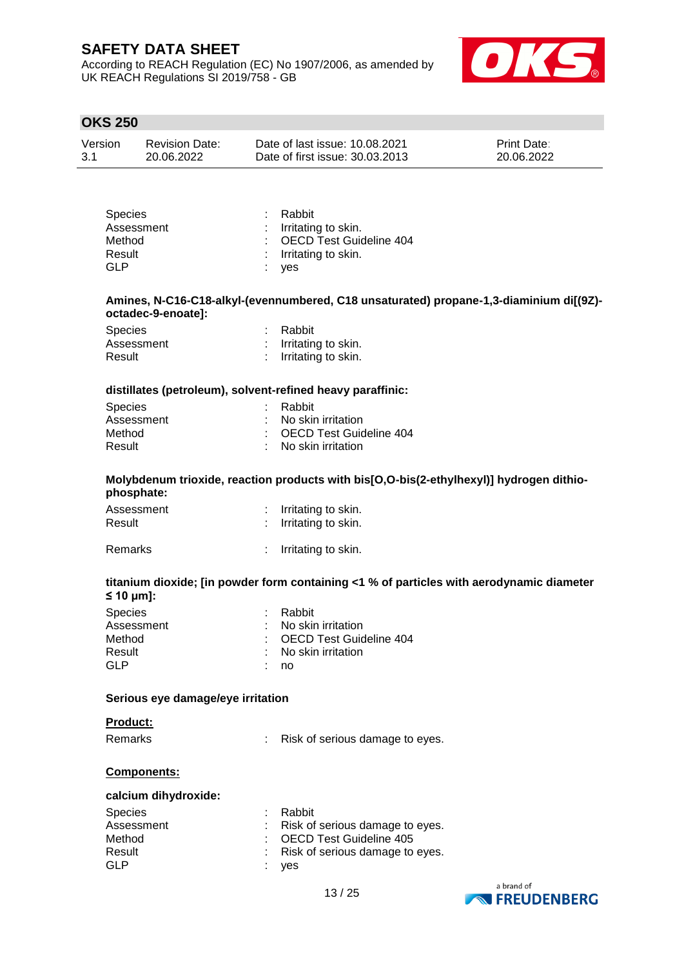According to REACH Regulation (EC) No 1907/2006, as amended by UK REACH Regulations SI 2019/758 - GB



# **OKS 250**

| Version | <b>Revision Date:</b> | Date of last issue: 10.08.2021  | <b>Print Date:</b> |
|---------|-----------------------|---------------------------------|--------------------|
| 3.1     | 20.06.2022            | Date of first issue: 30.03.2013 | 20.06.2022         |

| <b>Species</b> | : Rabbit                  |
|----------------|---------------------------|
| Assessment     | : Irritating to skin.     |
| Method         | : OECD Test Guideline 404 |
| Result         | : Irritating to skin.     |
| GLP            | : yes                     |

#### **Amines, N-C16-C18-alkyl-(evennumbered, C18 unsaturated) propane-1,3-diaminium di[(9Z) octadec-9-enoate]:**

| <b>Species</b> | : Rabbit              |
|----------------|-----------------------|
| Assessment     | : Irritating to skin. |
| Result         | : Irritating to skin. |

#### **distillates (petroleum), solvent-refined heavy paraffinic:**

| : Rabbit                        |
|---------------------------------|
| $\therefore$ No skin irritation |
| : OECD Test Guideline 404       |
| $\therefore$ No skin irritation |
|                                 |

#### **Molybdenum trioxide, reaction products with bis[O,O-bis(2-ethylhexyl)] hydrogen dithiophosphate:**

| Assessment | : Irritating to skin. |
|------------|-----------------------|
| Result     | : Irritating to skin. |

## Remarks : Irritating to skin.

#### **titanium dioxide; [in powder form containing <1 % of particles with aerodynamic diameter ≤ 10 μm]:**

| <b>Species</b> | : Rabbit                  |
|----------------|---------------------------|
| Assessment     | : No skin irritation      |
| Method         | : OECD Test Guideline 404 |
| Result         | : No skin irritation      |
| GI P           | no.                       |

#### **Serious eye damage/eye irritation**

#### **Product:**

Remarks : Risk of serious damage to eyes.

### **Components:**

#### **calcium dihydroxide:**

| <b>Species</b> | : Rabbit                          |
|----------------|-----------------------------------|
| Assessment     | : Risk of serious damage to eyes. |
| Method         | : OECD Test Guideline 405         |
| Result         | : Risk of serious damage to eyes. |
| <b>GLP</b>     | : yes                             |

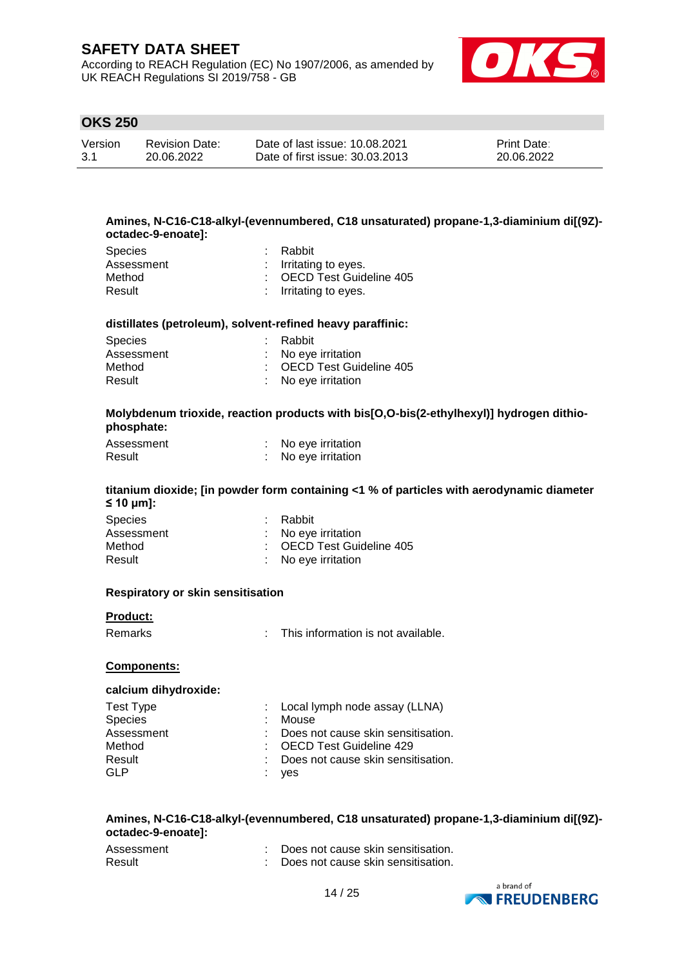According to REACH Regulation (EC) No 1907/2006, as amended by UK REACH Regulations SI 2019/758 - GB



# **OKS 250**

| Version | <b>Revision Date:</b> | Date of last issue: 10.08.2021  | <b>Print Date:</b> |
|---------|-----------------------|---------------------------------|--------------------|
| 3.1     | 20.06.2022            | Date of first issue: 30.03.2013 | 20.06.2022         |

#### **Amines, N-C16-C18-alkyl-(evennumbered, C18 unsaturated) propane-1,3-diaminium di[(9Z) octadec-9-enoate]:**

| Species    | : Rabbit                  |
|------------|---------------------------|
| Assessment | : Irritating to eyes.     |
| Method     | : OECD Test Guideline 405 |
| Result     | : Irritating to eyes.     |

#### **distillates (petroleum), solvent-refined heavy paraffinic:**

| <b>Species</b> | : Rabbit                  |
|----------------|---------------------------|
| Assessment     | : No eye irritation       |
| Method         | : OECD Test Guideline 405 |
| Result         | : No eye irritation       |

### **Molybdenum trioxide, reaction products with bis[O,O-bis(2-ethylhexyl)] hydrogen dithiophosphate:**

| Assessment | No eye irritation |
|------------|-------------------|
| Result     | No eye irritation |

#### **titanium dioxide; [in powder form containing <1 % of particles with aerodynamic diameter ≤ 10 μm]:**

| <b>Species</b> | : Rabbit                  |
|----------------|---------------------------|
| Assessment     | : No eve irritation       |
| Method         | : OECD Test Guideline 405 |
| Result         | : No eye irritation       |

#### **Respiratory or skin sensitisation**

#### **Product:**

Remarks : This information is not available.

#### **Components:**

#### **calcium dihydroxide:**

| Test Type      | : Local lymph node assay (LLNA)      |
|----------------|--------------------------------------|
| <b>Species</b> | Mouse                                |
| Assessment     | : Does not cause skin sensitisation. |
| Method         | : OECD Test Guideline 429            |
| Result         | : Does not cause skin sensitisation. |
| GLP            | yes                                  |

#### **Amines, N-C16-C18-alkyl-(evennumbered, C18 unsaturated) propane-1,3-diaminium di[(9Z) octadec-9-enoate]:**

| Assessment | Does not cause skin sensitisation. |
|------------|------------------------------------|
| Result     | Does not cause skin sensitisation. |

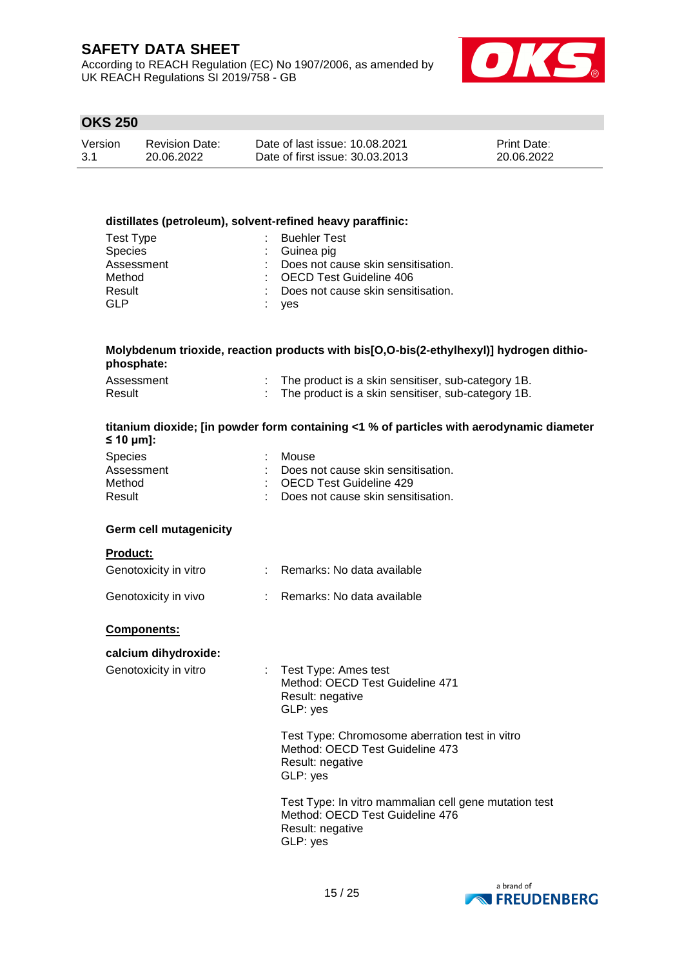According to REACH Regulation (EC) No 1907/2006, as amended by UK REACH Regulations SI 2019/758 - GB



# **OKS 250**

| Version | <b>Revision Date:</b> | Date of last issue: 10.08.2021  | <b>Print Date:</b> |
|---------|-----------------------|---------------------------------|--------------------|
| 3.1     | 20.06.2022            | Date of first issue: 30.03.2013 | 20.06.2022         |

#### **distillates (petroleum), solvent-refined heavy paraffinic:**

| Test Type      | : Buehler Test                       |
|----------------|--------------------------------------|
| <b>Species</b> | : Guinea pig                         |
| Assessment     | : Does not cause skin sensitisation. |
| Method         | : OECD Test Guideline 406            |
| Result         | : Does not cause skin sensitisation. |
| GLP            | : yes                                |

### **Molybdenum trioxide, reaction products with bis[O,O-bis(2-ethylhexyl)] hydrogen dithiophosphate:**

| Assessment | The product is a skin sensitiser, sub-category 1B. |
|------------|----------------------------------------------------|
| Result     | The product is a skin sensitiser, sub-category 1B. |

#### **titanium dioxide; [in powder form containing <1 % of particles with aerodynamic diameter ≤ 10 μm]:**

| <b>Species</b> | : Mouse                              |
|----------------|--------------------------------------|
| Assessment     | : Does not cause skin sensitisation. |
| Method         | : OECD Test Guideline 429            |
| Result         | : Does not cause skin sensitisation. |

### **Germ cell mutagenicity**

#### **Product:**

| Genotoxicity in vitro | Remarks: No data available |
|-----------------------|----------------------------|
| Genotoxicity in vivo  | Remarks: No data available |

# **Components:**

# **calcium dihydroxide:**

| $:$ Test Type: Ames test        |  |
|---------------------------------|--|
| Method: OECD Test Guideline 471 |  |
| Result: negative                |  |
| GLP: ves                        |  |
|                                 |  |

Test Type: Chromosome aberration test in vitro Method: OECD Test Guideline 473 Result: negative GLP: yes

Test Type: In vitro mammalian cell gene mutation test Method: OECD Test Guideline 476 Result: negative GLP: yes

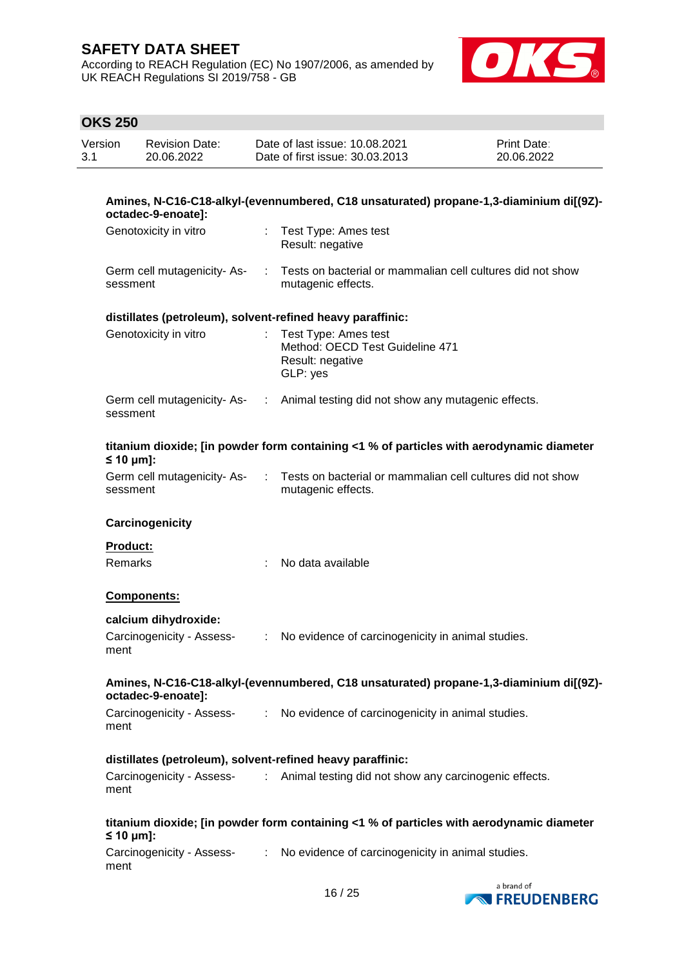According to REACH Regulation (EC) No 1907/2006, as amended by UK REACH Regulations SI 2019/758 - GB



# **OKS 250**

 $\overline{a}$ 

| Version<br>3.1 |                | <b>Revision Date:</b><br>20.06.2022 |                              | Date of last issue: 10.08.2021<br>Date of first issue: 30.03.2013                        | Print Date:<br>20.06.2022 |
|----------------|----------------|-------------------------------------|------------------------------|------------------------------------------------------------------------------------------|---------------------------|
|                |                | octadec-9-enoate]:                  |                              | Amines, N-C16-C18-alkyl-(evennumbered, C18 unsaturated) propane-1,3-diaminium di[(9Z)-   |                           |
|                |                | Genotoxicity in vitro               |                              | Test Type: Ames test<br>Result: negative                                                 |                           |
|                | sessment       | Germ cell mutagenicity-As-          | ÷                            | Tests on bacterial or mammalian cell cultures did not show<br>mutagenic effects.         |                           |
|                |                |                                     |                              | distillates (petroleum), solvent-refined heavy paraffinic:                               |                           |
|                |                | Genotoxicity in vitro               |                              | Test Type: Ames test<br>Method: OECD Test Guideline 471<br>Result: negative<br>GLP: yes  |                           |
|                | sessment       | Germ cell mutagenicity-As-          |                              | : Animal testing did not show any mutagenic effects.                                     |                           |
|                | $\leq 10$ µm]: |                                     |                              | titanium dioxide; [in powder form containing <1 % of particles with aerodynamic diameter |                           |
|                | sessment       | Germ cell mutagenicity-As-          |                              | Tests on bacterial or mammalian cell cultures did not show<br>mutagenic effects.         |                           |
|                |                | Carcinogenicity                     |                              |                                                                                          |                           |
|                | Product:       |                                     |                              |                                                                                          |                           |
|                | Remarks        |                                     |                              | No data available                                                                        |                           |
|                |                | Components:                         |                              |                                                                                          |                           |
|                |                | calcium dihydroxide:                |                              |                                                                                          |                           |
|                | ment           | Carcinogenicity - Assess-           | $\mathcal{L}_{\mathrm{max}}$ | No evidence of carcinogenicity in animal studies.                                        |                           |
|                |                | octadec-9-enoate]:                  |                              | Amines, N-C16-C18-alkyl-(evennumbered, C18 unsaturated) propane-1,3-diaminium di[(9Z)-   |                           |
|                | ment           | Carcinogenicity - Assess-           |                              | : No evidence of carcinogenicity in animal studies.                                      |                           |
|                |                |                                     |                              | distillates (petroleum), solvent-refined heavy paraffinic:                               |                           |
|                | ment           | Carcinogenicity - Assess-           | $\mathcal{L}^{(1)}$          | Animal testing did not show any carcinogenic effects.                                    |                           |
|                | $\leq 10$ µm]: |                                     |                              | titanium dioxide; [in powder form containing <1 % of particles with aerodynamic diameter |                           |
|                | ment           | Carcinogenicity - Assess-           |                              | : No evidence of carcinogenicity in animal studies.                                      |                           |
|                |                |                                     |                              |                                                                                          |                           |

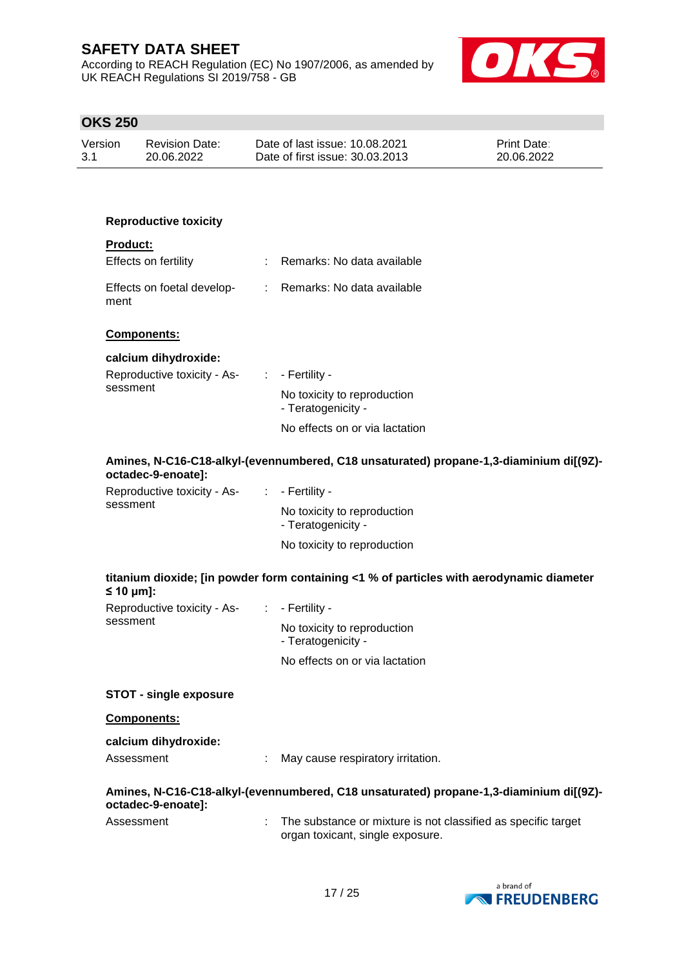According to REACH Regulation (EC) No 1907/2006, as amended by UK REACH Regulations SI 2019/758 - GB



# **OKS 250**

| Version | <b>Revision Date:</b> | Date of last issue: 10.08.2021  | <b>Print Date:</b> |
|---------|-----------------------|---------------------------------|--------------------|
| 3.1     | 20.06.2022            | Date of first issue: 30.03.2013 | 20.06.2022         |

## **Reproductive toxicity**

| <b>Product:</b>                    |                              |
|------------------------------------|------------------------------|
| <b>Effects on fertility</b>        | Remarks: No data available   |
| Effects on foetal develop-<br>ment | : Remarks: No data available |

### **Components:**

### **calcium dihydroxide:**

| Reproductive toxicity - As-<br>sessment | $\therefore$ - Fertility -                        |
|-----------------------------------------|---------------------------------------------------|
|                                         | No toxicity to reproduction<br>- Teratogenicity - |
|                                         | No effects on or via lactation                    |

### **Amines, N-C16-C18-alkyl-(evennumbered, C18 unsaturated) propane-1,3-diaminium di[(9Z) octadec-9-enoate]:**

| Reproductive toxicity - As- | $\therefore$ - Fertility -                        |
|-----------------------------|---------------------------------------------------|
| sessment                    | No toxicity to reproduction<br>- Teratogenicity - |
|                             | No toxicity to reproduction                       |

# **titanium dioxide; [in powder form containing <1 % of particles with aerodynamic diameter ≤ 10 μm]:**

| Reproductive toxicity - As-<br>sessment | $\therefore$ - Fertility -                        |
|-----------------------------------------|---------------------------------------------------|
|                                         | No toxicity to reproduction<br>- Teratogenicity - |
|                                         | No effects on or via lactation                    |

## **STOT - single exposure**

#### **Components:**

#### **calcium dihydroxide:**

| Assessment | May cause respiratory irritation. |
|------------|-----------------------------------|
|            |                                   |

### **Amines, N-C16-C18-alkyl-(evennumbered, C18 unsaturated) propane-1,3-diaminium di[(9Z) octadec-9-enoate]:**

| Assessment | The substance or mixture is not classified as specific target |
|------------|---------------------------------------------------------------|
|            | organ toxicant, single exposure.                              |

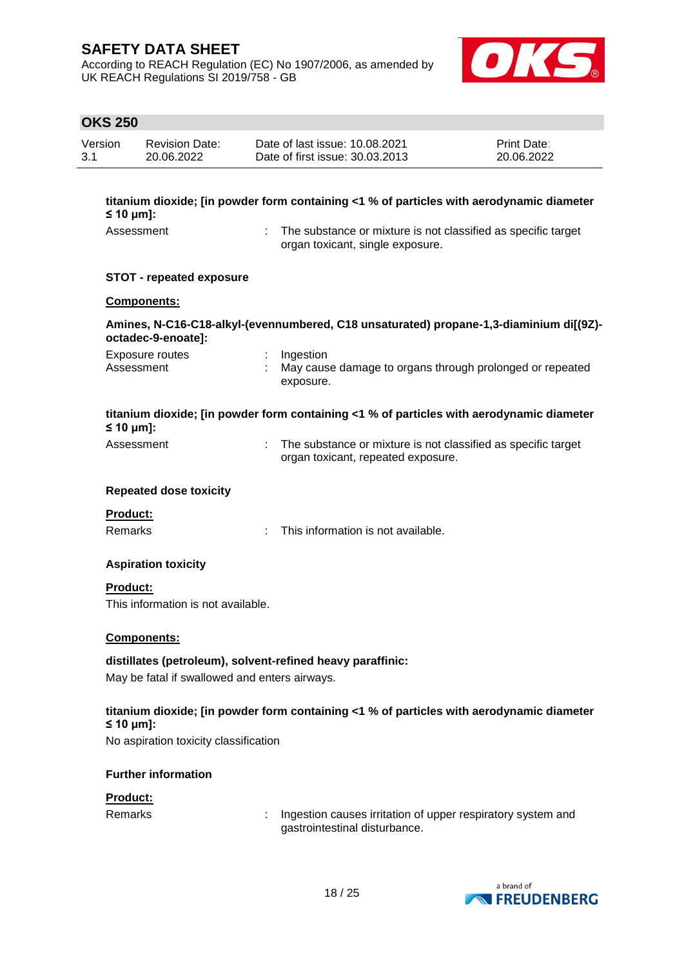According to REACH Regulation (EC) No 1907/2006, as amended by UK REACH Regulations SI 2019/758 - GB



# **OKS 250**

| Version | <b>Revision Date:</b> | Date of last issue: 10.08.2021  | <b>Print Date:</b> |
|---------|-----------------------|---------------------------------|--------------------|
| 3.1     | 20.06.2022            | Date of first issue: 30.03.2013 | 20.06.2022         |

| titanium dioxide; [in powder form containing <1 % of particles with aerodynamic diameter |  |  |  |  |
|------------------------------------------------------------------------------------------|--|--|--|--|
| $\leq$ 10 µm]:                                                                           |  |  |  |  |
|                                                                                          |  |  |  |  |

- 
- Assessment : The substance or mixture is not classified as specific target organ toxicant, single exposure.

### **STOT - repeated exposure**

### **Components:**

## **Amines, N-C16-C18-alkyl-(evennumbered, C18 unsaturated) propane-1,3-diaminium di[(9Z) octadec-9-enoate]:**

| Exposure routes | Ingestion                                                |
|-----------------|----------------------------------------------------------|
| Assessment      | May cause damage to organs through prolonged or repeated |
|                 | exposure.                                                |

|                                 | titanium dioxide; [in powder form containing $\lt 1$ % of particles with aerodynamic diameter |
|---------------------------------|-----------------------------------------------------------------------------------------------|
| $\leq 10 \text{ }\mu\text{m}$ : |                                                                                               |
| 1 - - - - - - - - - - 1         | The second state and contributional to meet also attitudes are a still a toward.              |

| Assessment | The substance or mixture is not classified as specific target |
|------------|---------------------------------------------------------------|
|            | organ toxicant, repeated exposure.                            |

#### **Repeated dose toxicity**

| <b>Product:</b> |                                      |
|-----------------|--------------------------------------|
| Remarks         | : This information is not available. |

## **Aspiration toxicity**

**Product:** This information is not available.

## **Components:**

## **distillates (petroleum), solvent-refined heavy paraffinic:**

May be fatal if swallowed and enters airways.

## **titanium dioxide; [in powder form containing <1 % of particles with aerodynamic diameter ≤ 10 μm]:**

No aspiration toxicity classification

## **Further information**

### **Product:**

Remarks : Ingestion causes irritation of upper respiratory system and gastrointestinal disturbance.

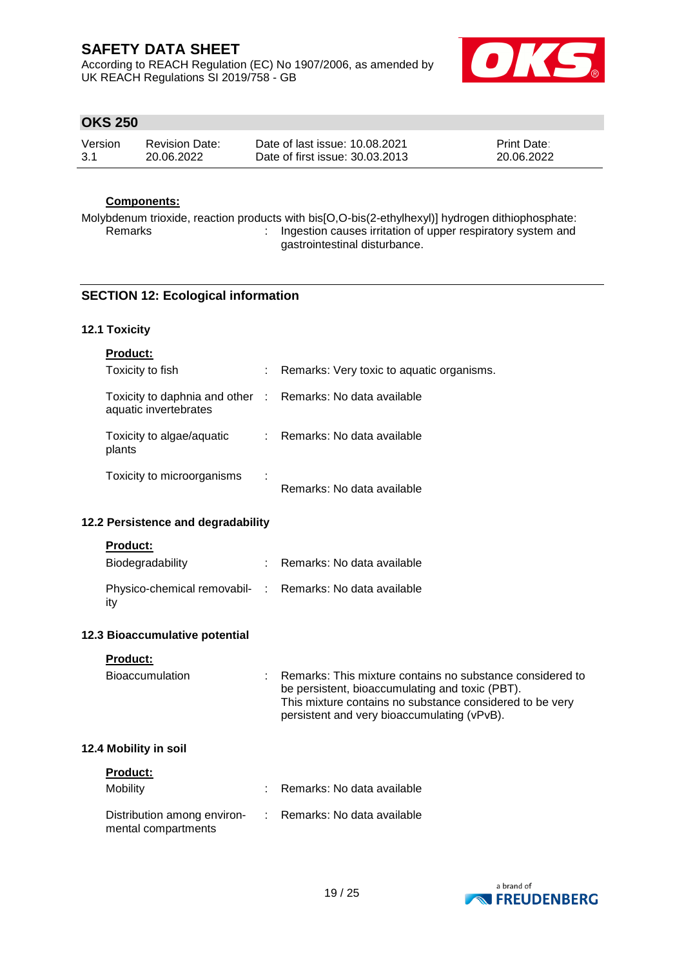According to REACH Regulation (EC) No 1907/2006, as amended by UK REACH Regulations SI 2019/758 - GB



# **OKS 250**

| Version | <b>Revision Date:</b> | Date of last issue: 10.08.2021  | <b>Print Date:</b> |
|---------|-----------------------|---------------------------------|--------------------|
| -3.1    | 20.06.2022            | Date of first issue: 30.03.2013 | 20.06.2022         |

# **Components:**

Molybdenum trioxide, reaction products with bis[O,O-bis(2-ethylhexyl)] hydrogen dithiophosphate: : Ingestion causes irritation of upper respiratory system and gastrointestinal disturbance.

## **SECTION 12: Ecological information**

### **12.1 Toxicity**

| <b>Product:</b>                                                                     |    |                                           |
|-------------------------------------------------------------------------------------|----|-------------------------------------------|
| Toxicity to fish                                                                    | t. | Remarks: Very toxic to aquatic organisms. |
| Toxicity to daphnia and other : Remarks: No data available<br>aquatic invertebrates |    |                                           |
| Toxicity to algae/aquatic<br>plants                                                 | ÷. | Remarks: No data available                |
| Toxicity to microorganisms                                                          |    | Remarks: No data available                |

### **12.2 Persistence and degradability**

#### **Product:**

| Biodegradability                                                 | Remarks: No data available |
|------------------------------------------------------------------|----------------------------|
| Physico-chemical removabil- : Remarks: No data available<br>-itv |                            |

#### **12.3 Bioaccumulative potential**

## **Product:**

| Bioaccumulation | : Remarks: This mixture contains no substance considered to<br>be persistent, bioaccumulating and toxic (PBT).<br>This mixture contains no substance considered to be very<br>persistent and very bioaccumulating (vPvB). |
|-----------------|---------------------------------------------------------------------------------------------------------------------------------------------------------------------------------------------------------------------------|
|                 |                                                                                                                                                                                                                           |

## **12.4 Mobility in soil**

| <b>Product:</b>                                    |                              |
|----------------------------------------------------|------------------------------|
| Mobility                                           | : Remarks: No data available |
| Distribution among environ-<br>mental compartments | : Remarks: No data available |

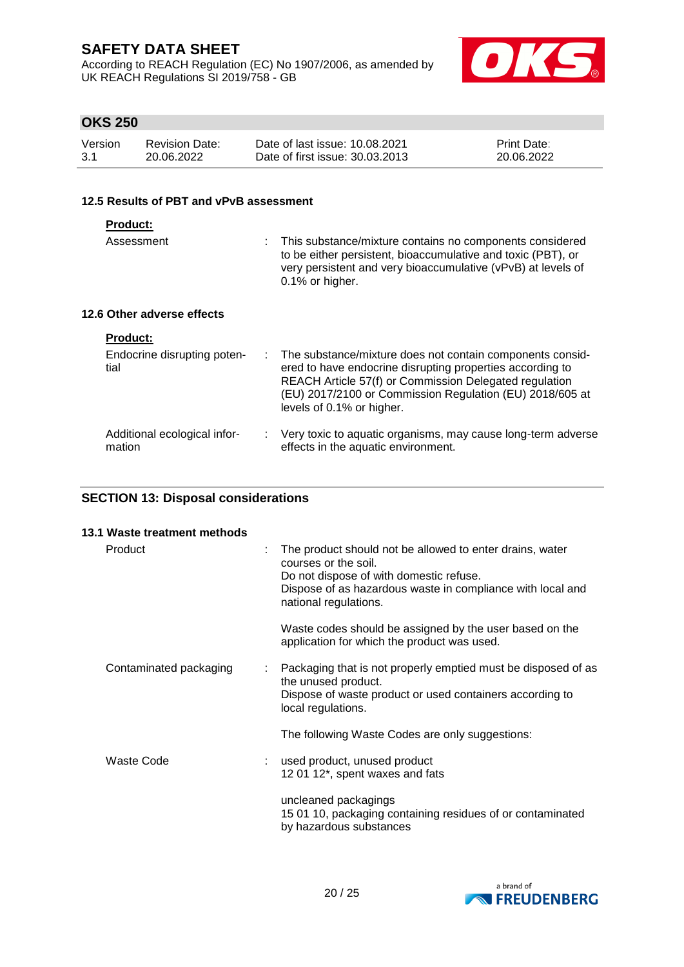According to REACH Regulation (EC) No 1907/2006, as amended by UK REACH Regulations SI 2019/758 - GB



# **OKS 250**

| Version | <b>Revision Date:</b> | Date of last issue: 10.08.2021  | <b>Print Date:</b> |
|---------|-----------------------|---------------------------------|--------------------|
| -3.1    | 20.06.2022            | Date of first issue: 30.03.2013 | 20.06.2022         |

### **12.5 Results of PBT and vPvB assessment**

| Assessment                 | : This substance/mixture contains no components considered<br>to be either persistent, bioaccumulative and toxic (PBT), or<br>very persistent and very bioaccumulative (vPvB) at levels of<br>$0.1\%$ or higher. |
|----------------------------|------------------------------------------------------------------------------------------------------------------------------------------------------------------------------------------------------------------|
| 12.6 Other adverse effects |                                                                                                                                                                                                                  |

| <b>Product:</b><br>Endocrine disrupting poten-<br>tial | : The substance/mixture does not contain components consid-<br>ered to have endocrine disrupting properties according to<br>REACH Article 57(f) or Commission Delegated regulation<br>(EU) 2017/2100 or Commission Regulation (EU) 2018/605 at<br>levels of 0.1% or higher. |
|--------------------------------------------------------|-----------------------------------------------------------------------------------------------------------------------------------------------------------------------------------------------------------------------------------------------------------------------------|
| Additional ecological infor-                           | : Very toxic to aquatic organisms, may cause long-term adverse                                                                                                                                                                                                              |
| mation                                                 | effects in the aquatic environment.                                                                                                                                                                                                                                         |

# **SECTION 13: Disposal considerations**

| 13.1 Waste treatment methods |   |                                                                                                                                                                                                                    |
|------------------------------|---|--------------------------------------------------------------------------------------------------------------------------------------------------------------------------------------------------------------------|
| Product                      | ÷ | The product should not be allowed to enter drains, water<br>courses or the soil.<br>Do not dispose of with domestic refuse.<br>Dispose of as hazardous waste in compliance with local and<br>national regulations. |
|                              |   | Waste codes should be assigned by the user based on the<br>application for which the product was used.                                                                                                             |
| Contaminated packaging       |   | Packaging that is not properly emptied must be disposed of as<br>the unused product.<br>Dispose of waste product or used containers according to<br>local regulations.                                             |
|                              |   | The following Waste Codes are only suggestions:                                                                                                                                                                    |
| <b>Waste Code</b>            |   | used product, unused product<br>12 01 12*, spent waxes and fats                                                                                                                                                    |
|                              |   | uncleaned packagings<br>15 01 10, packaging containing residues of or contaminated<br>by hazardous substances                                                                                                      |

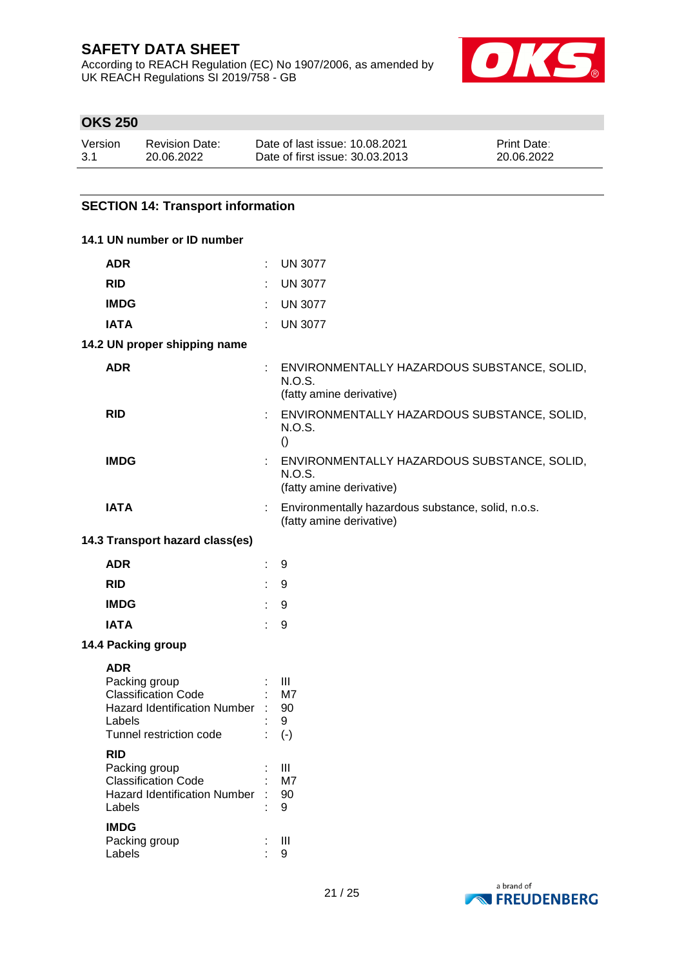According to REACH Regulation (EC) No 1907/2006, as amended by UK REACH Regulations SI 2019/758 - GB



# **OKS 250**

| Version | <b>Revision Date:</b> | Date of last issue: 10.08.2021  | <b>Print Date:</b> |
|---------|-----------------------|---------------------------------|--------------------|
| 3.1     | 20.06.2022            | Date of first issue: 30.03.2013 | 20.06.2022         |

## **SECTION 14: Transport information**

| 14.1 UN number or ID number                                                                                                         |                               |                                                                                     |
|-------------------------------------------------------------------------------------------------------------------------------------|-------------------------------|-------------------------------------------------------------------------------------|
| <b>ADR</b>                                                                                                                          |                               | <b>UN 3077</b>                                                                      |
| <b>RID</b>                                                                                                                          |                               | <b>UN 3077</b>                                                                      |
| <b>IMDG</b>                                                                                                                         |                               | <b>UN 3077</b>                                                                      |
| <b>IATA</b>                                                                                                                         | ÷                             | <b>UN 3077</b>                                                                      |
| 14.2 UN proper shipping name                                                                                                        |                               |                                                                                     |
| <b>ADR</b>                                                                                                                          |                               | ENVIRONMENTALLY HAZARDOUS SUBSTANCE, SOLID,<br>N.O.S.<br>(fatty amine derivative)   |
| <b>RID</b>                                                                                                                          |                               | : ENVIRONMENTALLY HAZARDOUS SUBSTANCE, SOLID,<br>N.O.S.<br>$\left( \right)$         |
| <b>IMDG</b>                                                                                                                         |                               | : ENVIRONMENTALLY HAZARDOUS SUBSTANCE, SOLID,<br>N.O.S.<br>(fatty amine derivative) |
| <b>IATA</b>                                                                                                                         |                               | : Environmentally hazardous substance, solid, n.o.s.<br>(fatty amine derivative)    |
| 14.3 Transport hazard class(es)                                                                                                     |                               |                                                                                     |
| <b>ADR</b>                                                                                                                          | ÷.                            | 9                                                                                   |
| <b>RID</b>                                                                                                                          | $\mathcal{L}^{\mathcal{L}}$ . | 9                                                                                   |
| <b>IMDG</b>                                                                                                                         | $\mathbb{Z}^{\times}$         | 9                                                                                   |
| <b>IATA</b>                                                                                                                         | ÷                             | 9                                                                                   |
| 14.4 Packing group                                                                                                                  |                               |                                                                                     |
| <b>ADR</b><br>Packing group<br><b>Classification Code</b><br>Hazard Identification Number : 90<br>Labels<br>Tunnel restriction code |                               | $\therefore$ $\Box$<br>$:$ M7<br>9<br>$(-)$                                         |
| <b>RID</b><br>Packing group<br><b>Classification Code</b><br><b>Hazard Identification Number</b><br>Labels                          |                               | Ш<br>M7<br>90<br>9                                                                  |
| <b>IMDG</b><br>Packing group<br>Labels                                                                                              |                               | $\mathbf{III}$<br>9                                                                 |

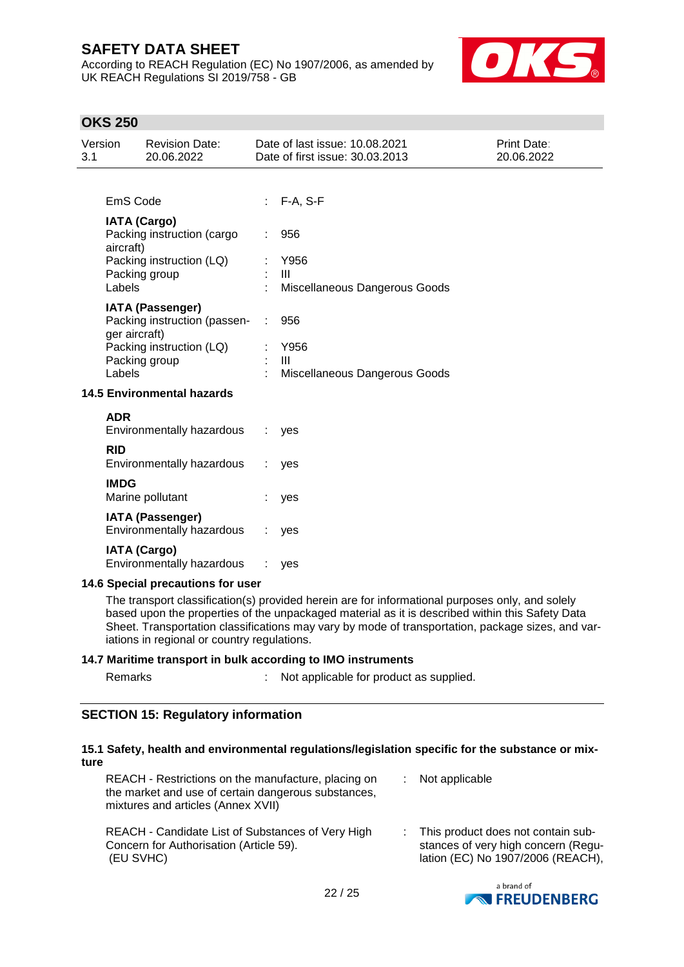According to REACH Regulation (EC) No 1907/2006, as amended by UK REACH Regulations SI 2019/758 - GB



Print Date: 20.06.2022

# **OKS 250**

| Version<br>3.1 | <b>Revision Date:</b><br>20.06.2022                                                                                   | Date of last issue: 10.08.2021<br>Date of first issue: 30.03.2013 |
|----------------|-----------------------------------------------------------------------------------------------------------------------|-------------------------------------------------------------------|
|                |                                                                                                                       |                                                                   |
|                | EmS Code                                                                                                              | : F-A, S-F                                                        |
| aircraft)      | <b>IATA (Cargo)</b><br>Packing instruction (cargo                                                                     | 956                                                               |
|                | Packing instruction (LQ)                                                                                              | Y956                                                              |
|                | Packing group                                                                                                         | $\mathbf{III}$                                                    |
| Labels         |                                                                                                                       | Miscellaneous Dangerous Goods                                     |
| Labels         | <b>IATA (Passenger)</b><br>Packing instruction (passen-<br>ger aircraft)<br>Packing instruction (LQ)<br>Packing group | 956<br>Y956<br>III<br>Miscellaneous Dangerous Goods               |
|                | <b>14.5 Environmental hazards</b>                                                                                     |                                                                   |
| <b>ADR</b>     | Environmentally hazardous                                                                                             | yes                                                               |
| <b>RID</b>     | Environmentally hazardous                                                                                             | yes                                                               |
| <b>IMDG</b>    | Marine pollutant                                                                                                      | yes                                                               |
|                | <b>IATA (Passenger)</b><br>Environmentally hazardous                                                                  | ves                                                               |

**IATA (Cargo)**

Environmentally hazardous : yes

#### **14.6 Special precautions for user**

The transport classification(s) provided herein are for informational purposes only, and solely based upon the properties of the unpackaged material as it is described within this Safety Data Sheet. Transportation classifications may vary by mode of transportation, package sizes, and variations in regional or country regulations.

#### **14.7 Maritime transport in bulk according to IMO instruments**

Remarks : Not applicable for product as supplied.

## **SECTION 15: Regulatory information**

#### **15.1 Safety, health and environmental regulations/legislation specific for the substance or mixture**

| REACH - Restrictions on the manufacture, placing on<br>the market and use of certain dangerous substances,<br>mixtures and articles (Annex XVII) | $:$ Not applicable                                                                                               |
|--------------------------------------------------------------------------------------------------------------------------------------------------|------------------------------------------------------------------------------------------------------------------|
| REACH - Candidate List of Substances of Very High<br>Concern for Authorisation (Article 59).<br>(EU SVHC)                                        | : This product does not contain sub-<br>stances of very high concern (Regu-<br>lation (EC) No 1907/2006 (REACH), |

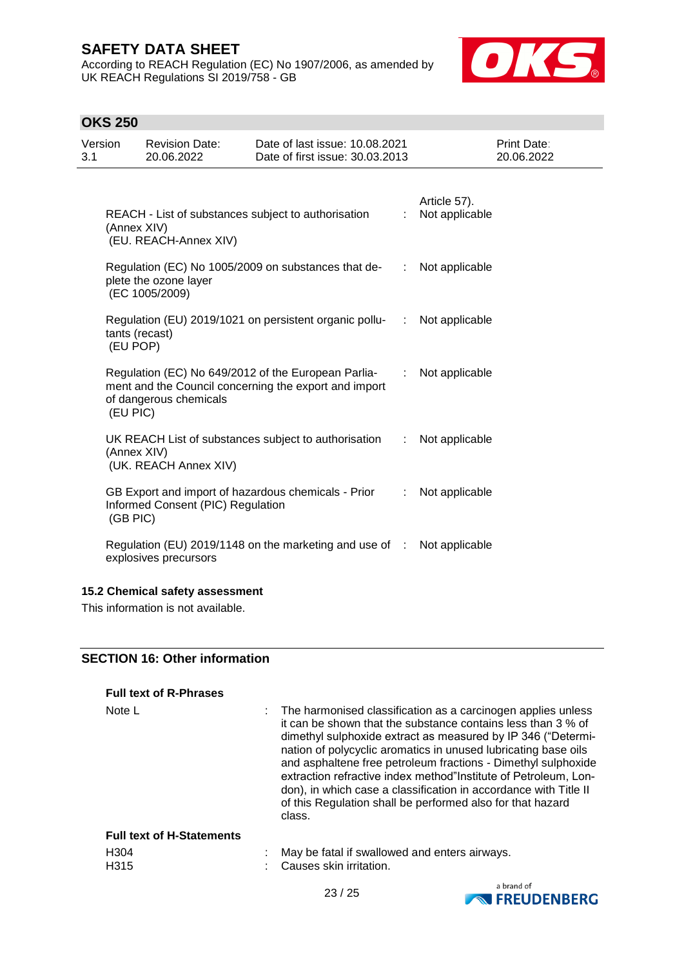According to REACH Regulation (EC) No 1907/2006, as amended by UK REACH Regulations SI 2019/758 - GB



# **OKS 250**

| Version<br>3.1 | <b>Revision Date:</b><br>20.06.2022           | Date of last issue: 10.08.2021<br>Date of first issue: 30.03.2013                                            |                       | <b>Print Date:</b><br>20.06.2022 |
|----------------|-----------------------------------------------|--------------------------------------------------------------------------------------------------------------|-----------------------|----------------------------------|
|                | (Annex XIV)<br>(EU. REACH-Annex XIV)          | REACH - List of substances subject to authorisation                                                          | ÷                     | Article 57).<br>Not applicable   |
|                | plete the ozone layer<br>(EC 1005/2009)       | Regulation (EC) No 1005/2009 on substances that de-                                                          | $\mathbb{Z}^{\times}$ | Not applicable                   |
|                | tants (recast)<br>(EU POP)                    | Regulation (EU) 2019/1021 on persistent organic pollu-<br>                                                   |                       | Not applicable                   |
|                | of dangerous chemicals<br>(EU PIC)            | Regulation (EC) No 649/2012 of the European Parlia-<br>ment and the Council concerning the export and import |                       | Not applicable                   |
|                | (Annex XIV)<br>(UK. REACH Annex XIV)          | UK REACH List of substances subject to authorisation                                                         | ÷.                    | Not applicable                   |
|                | Informed Consent (PIC) Regulation<br>(GB PIC) | GB Export and import of hazardous chemicals - Prior                                                          | ÷.                    | Not applicable                   |
|                | explosives precursors                         | Regulation (EU) 2019/1148 on the marketing and use of :                                                      |                       | Not applicable                   |

# **15.2 Chemical safety assessment**

This information is not available.

## **SECTION 16: Other information**

| <b>Full text of R-Phrases</b>        |                                                                                                                                                                                                                                                                                                                                                                                                                                                                                                                                                  |
|--------------------------------------|--------------------------------------------------------------------------------------------------------------------------------------------------------------------------------------------------------------------------------------------------------------------------------------------------------------------------------------------------------------------------------------------------------------------------------------------------------------------------------------------------------------------------------------------------|
| Note $L$                             | : The harmonised classification as a carcinogen applies unless<br>it can be shown that the substance contains less than 3 % of<br>dimethyl sulphoxide extract as measured by IP 346 ("Determi-<br>nation of polycyclic aromatics in unused lubricating base oils<br>and asphaltene free petroleum fractions - Dimethyl sulphoxide<br>extraction refractive index method"Institute of Petroleum, Lon-<br>don), in which case a classification in accordance with Title II<br>of this Regulation shall be performed also for that hazard<br>class. |
| <b>Full text of H-Statements</b>     |                                                                                                                                                                                                                                                                                                                                                                                                                                                                                                                                                  |
| H <sub>304</sub><br>H <sub>315</sub> | May be fatal if swallowed and enters airways.<br>Causes skin irritation.                                                                                                                                                                                                                                                                                                                                                                                                                                                                         |

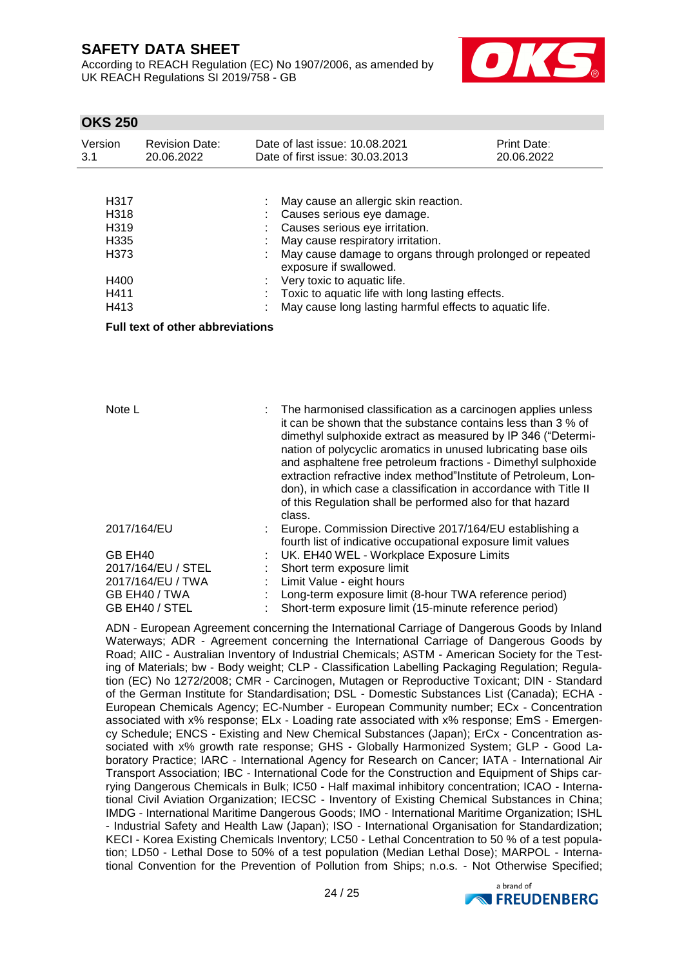According to REACH Regulation (EC) No 1907/2006, as amended by UK REACH Regulations SI 2019/758 - GB



# **OKS 250**

| Version<br>3.1                                                            | <b>Revision Date:</b><br>20.06.2022     | Date of last issue: 10.08.2021<br>Date of first issue: 30.03.2013                                                                                                                                                                                                                                                                                                                                                                                                                                                                              | <b>Print Date:</b><br>20.06.2022 |
|---------------------------------------------------------------------------|-----------------------------------------|------------------------------------------------------------------------------------------------------------------------------------------------------------------------------------------------------------------------------------------------------------------------------------------------------------------------------------------------------------------------------------------------------------------------------------------------------------------------------------------------------------------------------------------------|----------------------------------|
| H317<br>H318<br>H319<br>H335<br>H <sub>3</sub> 73<br>H400<br>H411<br>H413 | <b>Full text of other abbreviations</b> | May cause an allergic skin reaction.<br>Causes serious eye damage.<br>Causes serious eye irritation.<br>May cause respiratory irritation.<br>May cause damage to organs through prolonged or repeated<br>exposure if swallowed.<br>Very toxic to aquatic life.<br>Toxic to aquatic life with long lasting effects.<br>May cause long lasting harmful effects to aquatic life.                                                                                                                                                                  |                                  |
| Note L                                                                    |                                         | The harmonised classification as a carcinogen applies unless<br>it can be shown that the substance contains less than 3 % of<br>dimethyl sulphoxide extract as measured by IP 346 ("Determi-<br>nation of polycyclic aromatics in unused lubricating base oils<br>and asphaltene free petroleum fractions - Dimethyl sulphoxide<br>extraction refractive index method"Institute of Petroleum, Lon-<br>don), in which case a classification in accordance with Title II<br>of this Regulation shall be performed also for that hazard<br>class. |                                  |
|                                                                           | 2017/164/EU                             | Europe. Commission Directive 2017/164/EU establishing a<br>fourth list of indicative occupational exposure limit values                                                                                                                                                                                                                                                                                                                                                                                                                        |                                  |
| GB EH40                                                                   |                                         | UK. EH40 WEL - Workplace Exposure Limits                                                                                                                                                                                                                                                                                                                                                                                                                                                                                                       |                                  |
|                                                                           | 2017/164/EU / STEL                      | Short term exposure limit                                                                                                                                                                                                                                                                                                                                                                                                                                                                                                                      |                                  |
|                                                                           | 2017/164/EU / TWA                       | Limit Value - eight hours                                                                                                                                                                                                                                                                                                                                                                                                                                                                                                                      |                                  |

GB EH40 / TWA : Long-term exposure limit (8-hour TWA reference period) GB EH40 / STEL : Short-term exposure limit (15-minute reference period)

ADN - European Agreement concerning the International Carriage of Dangerous Goods by Inland Waterways; ADR - Agreement concerning the International Carriage of Dangerous Goods by Road; AIIC - Australian Inventory of Industrial Chemicals; ASTM - American Society for the Testing of Materials; bw - Body weight; CLP - Classification Labelling Packaging Regulation; Regulation (EC) No 1272/2008; CMR - Carcinogen, Mutagen or Reproductive Toxicant; DIN - Standard of the German Institute for Standardisation; DSL - Domestic Substances List (Canada); ECHA - European Chemicals Agency; EC-Number - European Community number; ECx - Concentration associated with x% response; ELx - Loading rate associated with x% response; EmS - Emergency Schedule; ENCS - Existing and New Chemical Substances (Japan); ErCx - Concentration associated with x% growth rate response; GHS - Globally Harmonized System; GLP - Good Laboratory Practice; IARC - International Agency for Research on Cancer; IATA - International Air Transport Association; IBC - International Code for the Construction and Equipment of Ships carrying Dangerous Chemicals in Bulk; IC50 - Half maximal inhibitory concentration; ICAO - International Civil Aviation Organization; IECSC - Inventory of Existing Chemical Substances in China; IMDG - International Maritime Dangerous Goods; IMO - International Maritime Organization; ISHL - Industrial Safety and Health Law (Japan); ISO - International Organisation for Standardization; KECI - Korea Existing Chemicals Inventory; LC50 - Lethal Concentration to 50 % of a test population; LD50 - Lethal Dose to 50% of a test population (Median Lethal Dose); MARPOL - International Convention for the Prevention of Pollution from Ships; n.o.s. - Not Otherwise Specified;